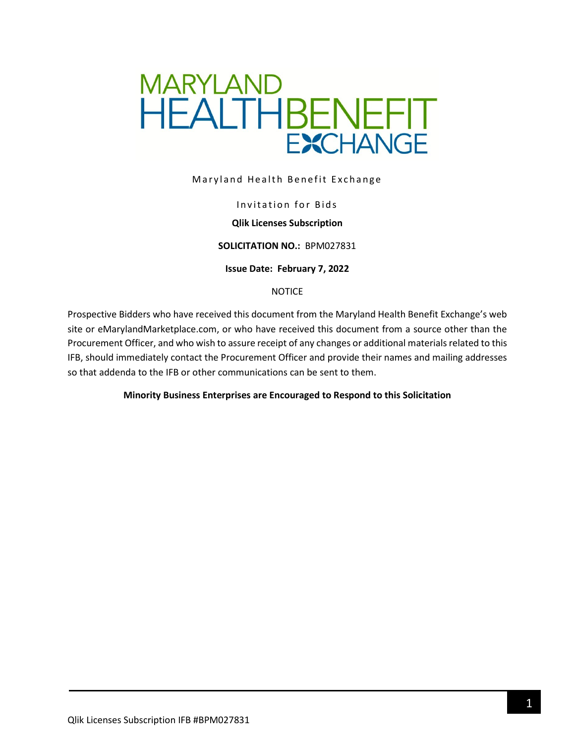

Maryland Health Benefit Exchange

#### Invitation for Bids

#### **Qlik Licenses Subscription**

#### **SOLICITATION NO.:** BPM027831

#### **Issue Date: February 7, 2022**

#### NOTICE

Prospective Bidders who have received this document from the Maryland Health Benefit Exchange's web site or eMarylandMarketplace.com, or who have received this document from a source other than the Procurement Officer, and who wish to assure receipt of any changes or additional materials related to this IFB, should immediately contact the Procurement Officer and provide their names and mailing addresses so that addenda to the IFB or other communications can be sent to them.

#### **Minority Business Enterprises are Encouraged to Respond to this Solicitation**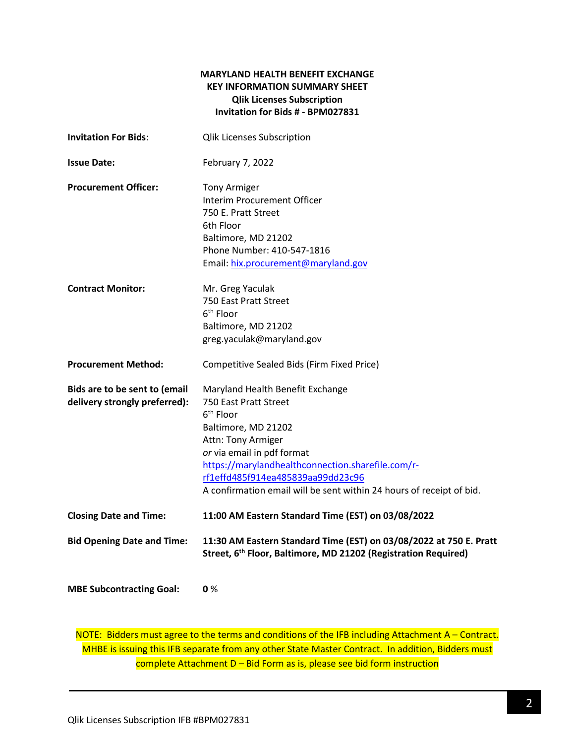### **MARYLAND HEALTH BENEFIT EXCHANGE KEY INFORMATION SUMMARY SHEET Qlik Licenses Subscription Invitation for Bids # - BPM027831**

| <b>Invitation For Bids:</b>                                    | <b>Qlik Licenses Subscription</b>                                                                                                                                                                                                                                                                                               |
|----------------------------------------------------------------|---------------------------------------------------------------------------------------------------------------------------------------------------------------------------------------------------------------------------------------------------------------------------------------------------------------------------------|
| <b>Issue Date:</b>                                             | February 7, 2022                                                                                                                                                                                                                                                                                                                |
| <b>Procurement Officer:</b>                                    | <b>Tony Armiger</b><br>Interim Procurement Officer<br>750 E. Pratt Street<br>6th Floor<br>Baltimore, MD 21202<br>Phone Number: 410-547-1816<br>Email: hix.procurement@maryland.gov                                                                                                                                              |
| <b>Contract Monitor:</b>                                       | Mr. Greg Yaculak<br>750 East Pratt Street<br>6 <sup>th</sup> Floor<br>Baltimore, MD 21202<br>greg.yaculak@maryland.gov                                                                                                                                                                                                          |
| <b>Procurement Method:</b>                                     | Competitive Sealed Bids (Firm Fixed Price)                                                                                                                                                                                                                                                                                      |
| Bids are to be sent to (email<br>delivery strongly preferred): | Maryland Health Benefit Exchange<br>750 East Pratt Street<br>6 <sup>th</sup> Floor<br>Baltimore, MD 21202<br>Attn: Tony Armiger<br>or via email in pdf format<br>https://marylandhealthconnection.sharefile.com/r-<br>rf1effd485f914ea485839aa99dd23c96<br>A confirmation email will be sent within 24 hours of receipt of bid. |
| <b>Closing Date and Time:</b>                                  | 11:00 AM Eastern Standard Time (EST) on 03/08/2022                                                                                                                                                                                                                                                                              |
| <b>Bid Opening Date and Time:</b>                              | 11:30 AM Eastern Standard Time (EST) on 03/08/2022 at 750 E. Pratt<br>Street, 6 <sup>th</sup> Floor, Baltimore, MD 21202 (Registration Required)                                                                                                                                                                                |
| <b>MBE Subcontracting Goal:</b>                                | 0%                                                                                                                                                                                                                                                                                                                              |

NOTE: Bidders must agree to the terms and conditions of the IFB including Attachment A – Contract. MHBE is issuing this IFB separate from any other State Master Contract. In addition, Bidders must complete Attachment D – Bid Form as is, please see bid form instruction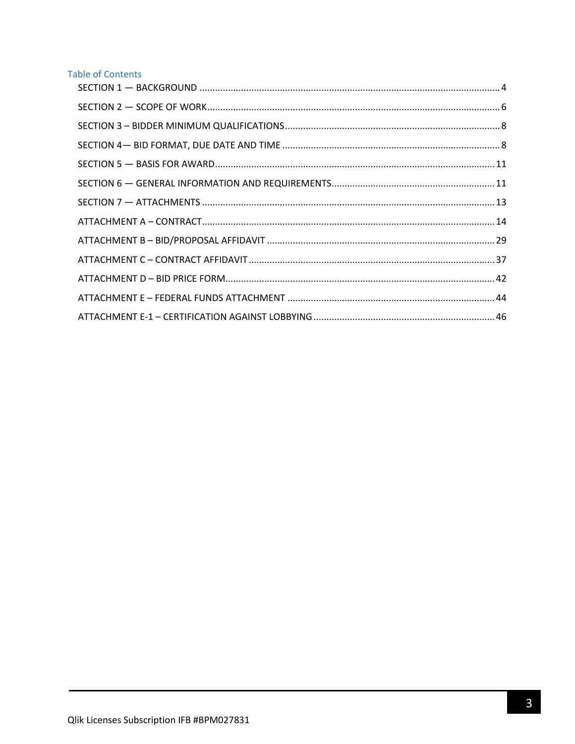## **Table of Contents**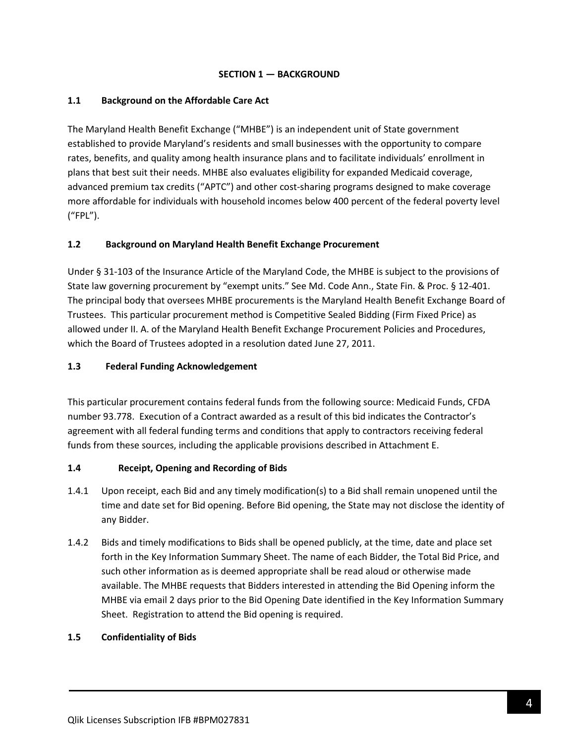### **SECTION 1 — BACKGROUND**

### <span id="page-3-0"></span>**1.1 Background on the Affordable Care Act**

The Maryland Health Benefit Exchange ("MHBE") is an independent unit of State government established to provide Maryland's residents and small businesses with the opportunity to compare rates, benefits, and quality among health insurance plans and to facilitate individuals' enrollment in plans that best suit their needs. MHBE also evaluates eligibility for expanded Medicaid coverage, advanced premium tax credits ("APTC") and other cost-sharing programs designed to make coverage more affordable for individuals with household incomes below 400 percent of the federal poverty level ("FPL").

### **1.2 Background on Maryland Health Benefit Exchange Procurement**

Under § 31-103 of the Insurance Article of the Maryland Code, the MHBE is subject to the provisions of State law governing procurement by "exempt units." See Md. Code Ann., State Fin. & Proc. § 12-401. The principal body that oversees MHBE procurements is the Maryland Health Benefit Exchange Board of Trustees. This particular procurement method is Competitive Sealed Bidding (Firm Fixed Price) as allowed under II. A. of the Maryland Health Benefit Exchange Procurement Policies and Procedures, which the Board of Trustees adopted in a resolution dated June 27, 2011.

### **1.3 Federal Funding Acknowledgement**

This particular procurement contains federal funds from the following source: Medicaid Funds, CFDA number 93.778. Execution of a Contract awarded as a result of this bid indicates the Contractor's agreement with all federal funding terms and conditions that apply to contractors receiving federal funds from these sources, including the applicable provisions described in Attachment E.

#### **1.4 Receipt, Opening and Recording of Bids**

- 1.4.1 Upon receipt, each Bid and any timely modification(s) to a Bid shall remain unopened until the time and date set for Bid opening. Before Bid opening, the State may not disclose the identity of any Bidder.
- 1.4.2 Bids and timely modifications to Bids shall be opened publicly, at the time, date and place set forth in the Key Information Summary Sheet. The name of each Bidder, the Total Bid Price, and such other information as is deemed appropriate shall be read aloud or otherwise made available. The MHBE requests that Bidders interested in attending the Bid Opening inform the MHBE via email 2 days prior to the Bid Opening Date identified in the Key Information Summary Sheet. Registration to attend the Bid opening is required.

#### **1.5 Confidentiality of Bids**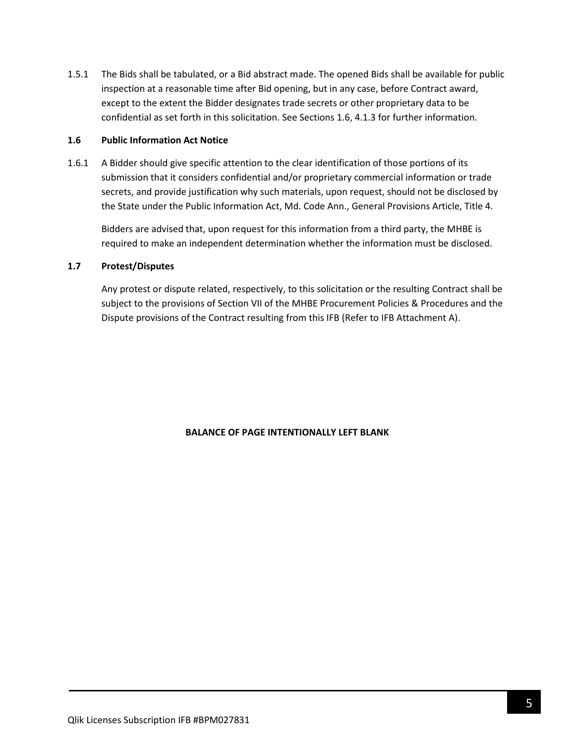1.5.1 The Bids shall be tabulated, or a Bid abstract made. The opened Bids shall be available for public inspection at a reasonable time after Bid opening, but in any case, before Contract award, except to the extent the Bidder designates trade secrets or other proprietary data to be confidential as set forth in this solicitation. See Sections 1.6, 4.1.3 for further information.

#### **1.6 Public Information Act Notice**

1.6.1 A Bidder should give specific attention to the clear identification of those portions of its submission that it considers confidential and/or proprietary commercial information or trade secrets, and provide justification why such materials, upon request, should not be disclosed by the State under the Public Information Act, Md. Code Ann., General Provisions Article, Title 4.

Bidders are advised that, upon request for this information from a third party, the MHBE is required to make an independent determination whether the information must be disclosed.

#### **1.7 Protest/Disputes**

Any protest or dispute related, respectively, to this solicitation or the resulting Contract shall be subject to the provisions of Section VII of the MHBE Procurement Policies & Procedures and the Dispute provisions of the Contract resulting from this IFB (Refer to IFB Attachment A).

#### **BALANCE OF PAGE INTENTIONALLY LEFT BLANK**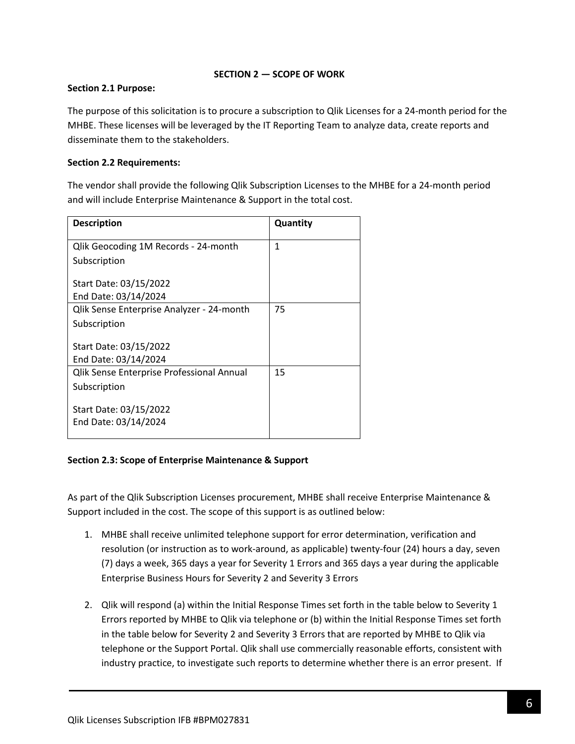### **SECTION 2 — SCOPE OF WORK**

### <span id="page-5-0"></span>**Section 2.1 Purpose:**

The purpose of this solicitation is to procure a subscription to Qlik Licenses for a 24-month period for the MHBE. These licenses will be leveraged by the IT Reporting Team to analyze data, create reports and disseminate them to the stakeholders.

### **Section 2.2 Requirements:**

The vendor shall provide the following Qlik Subscription Licenses to the MHBE for a 24-month period and will include Enterprise Maintenance & Support in the total cost.

| <b>Description</b>                        | Quantity |
|-------------------------------------------|----------|
| Qlik Geocoding 1M Records - 24-month      | 1        |
| Subscription                              |          |
| Start Date: 03/15/2022                    |          |
| End Date: 03/14/2024                      |          |
| Qlik Sense Enterprise Analyzer - 24-month | 75       |
| Subscription                              |          |
| Start Date: 03/15/2022                    |          |
| End Date: 03/14/2024                      |          |
| Qlik Sense Enterprise Professional Annual | 15       |
| Subscription                              |          |
| Start Date: 03/15/2022                    |          |
| End Date: 03/14/2024                      |          |

### **Section 2.3: Scope of Enterprise Maintenance & Support**

As part of the Qlik Subscription Licenses procurement, MHBE shall receive Enterprise Maintenance & Support included in the cost. The scope of this support is as outlined below:

- 1. MHBE shall receive unlimited telephone support for error determination, verification and resolution (or instruction as to work-around, as applicable) twenty-four (24) hours a day, seven (7) days a week, 365 days a year for Severity 1 Errors and 365 days a year during the applicable Enterprise Business Hours for Severity 2 and Severity 3 Errors
- 2. Qlik will respond (a) within the Initial Response Times set forth in the table below to Severity 1 Errors reported by MHBE to Qlik via telephone or (b) within the Initial Response Times set forth in the table below for Severity 2 and Severity 3 Errors that are reported by MHBE to Qlik via telephone or the Support Portal. Qlik shall use commercially reasonable efforts, consistent with industry practice, to investigate such reports to determine whether there is an error present. If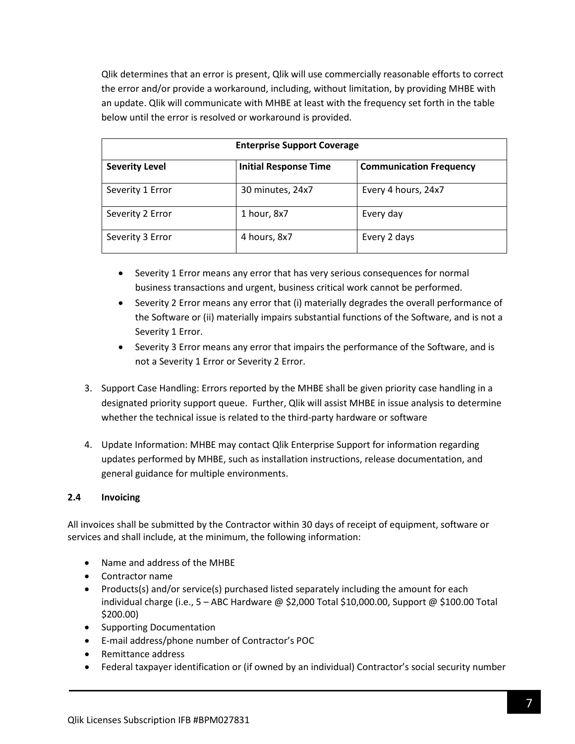Qlik determines that an error is present, Qlik will use commercially reasonable efforts to correct the error and/or provide a workaround, including, without limitation, by providing MHBE with an update. Qlik will communicate with MHBE at least with the frequency set forth in the table below until the error is resolved or workaround is provided.

| <b>Enterprise Support Coverage</b> |                              |                                |  |
|------------------------------------|------------------------------|--------------------------------|--|
| <b>Severity Level</b>              | <b>Initial Response Time</b> | <b>Communication Frequency</b> |  |
| Severity 1 Error                   | 30 minutes, 24x7             | Every 4 hours, 24x7            |  |
| Severity 2 Error                   | 1 hour, 8x7                  | Every day                      |  |
| Severity 3 Error                   | 4 hours, 8x7                 | Every 2 days                   |  |

- Severity 1 Error means any error that has very serious consequences for normal business transactions and urgent, business critical work cannot be performed.
- Severity 2 Error means any error that (i) materially degrades the overall performance of the Software or (ii) materially impairs substantial functions of the Software, and is not a Severity 1 Error.
- Severity 3 Error means any error that impairs the performance of the Software, and is not a Severity 1 Error or Severity 2 Error.
- 3. Support Case Handling: Errors reported by the MHBE shall be given priority case handling in a designated priority support queue. Further, Qlik will assist MHBE in issue analysis to determine whether the technical issue is related to the third-party hardware or software
- 4. Update Information: MHBE may contact Qlik Enterprise Support for information regarding updates performed by MHBE, such as installation instructions, release documentation, and general guidance for multiple environments.

### **2.4 Invoicing**

All invoices shall be submitted by the Contractor within 30 days of receipt of equipment, software or services and shall include, at the minimum, the following information:

- Name and address of the MHBE
- Contractor name
- Products(s) and/or service(s) purchased listed separately including the amount for each individual charge (i.e.,  $5 -$  ABC Hardware @ \$2,000 Total \$10,000.00, Support @ \$100.00 Total \$200.00)
- Supporting Documentation
- E-mail address/phone number of Contractor's POC
- Remittance address
- Federal taxpayer identification or (if owned by an individual) Contractor's social security number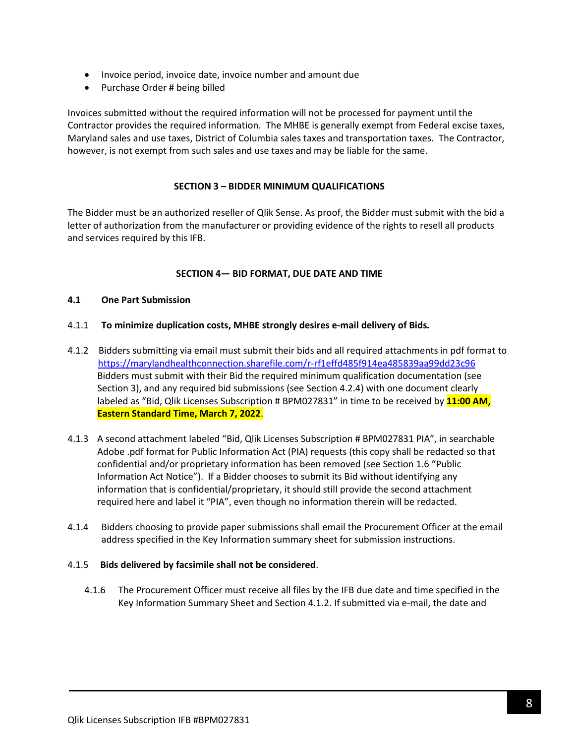- Invoice period, invoice date, invoice number and amount due
- Purchase Order # being billed

Invoices submitted without the required information will not be processed for payment until the Contractor provides the required information. The MHBE is generally exempt from Federal excise taxes, Maryland sales and use taxes, District of Columbia sales taxes and transportation taxes. The Contractor, however, is not exempt from such sales and use taxes and may be liable for the same.

### **SECTION 3 – BIDDER MINIMUM QUALIFICATIONS**

<span id="page-7-0"></span>The Bidder must be an authorized reseller of Qlik Sense. As proof, the Bidder must submit with the bid a letter of authorization from the manufacturer or providing evidence of the rights to resell all products and services required by this IFB.

### **SECTION 4— BID FORMAT, DUE DATE AND TIME**

#### <span id="page-7-1"></span>**4.1 One Part Submission**

- 4.1.1 **To minimize duplication costs, MHBE strongly desires e-mail delivery of Bids***.*
- 4.1.2 Bidders submitting via email must submit their bids and all required attachments in pdf format to <https://marylandhealthconnection.sharefile.com/r-rf1effd485f914ea485839aa99dd23c96> Bidders must submit with their Bid the required minimum qualification documentation (see Section 3), and any required bid submissions (see Section 4.2.4) with one document clearly labeled as "Bid, Qlik Licenses Subscription # BPM027831" in time to be received by **11:00 AM, Eastern Standard Time, March 7, 2022**.
- 4.1.3 A second attachment labeled "Bid, Qlik Licenses Subscription # BPM027831 PIA", in searchable Adobe .pdf format for Public Information Act (PIA) requests (this copy shall be redacted so that confidential and/or proprietary information has been removed (see Section 1.6 "Public Information Act Notice"). If a Bidder chooses to submit its Bid without identifying any information that is confidential/proprietary, it should still provide the second attachment required here and label it "PIA", even though no information therein will be redacted.
- 4.1.4 Bidders choosing to provide paper submissions shall email the Procurement Officer at the email address specified in the Key Information summary sheet for submission instructions.

#### 4.1.5 **Bids delivered by facsimile shall not be considered**.

4.1.6 The Procurement Officer must receive all files by the IFB due date and time specified in the Key Information Summary Sheet and Section 4.1.2. If submitted via e-mail, the date and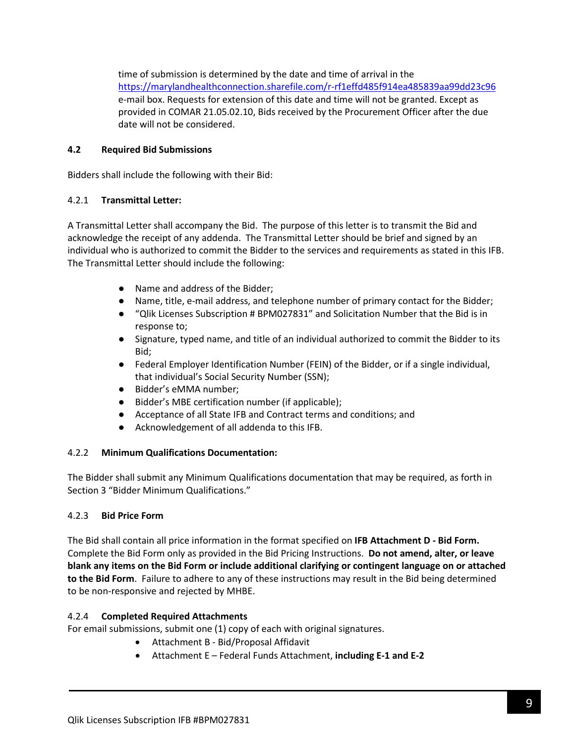time of submission is determined by the date and time of arrival in the <https://marylandhealthconnection.sharefile.com/r-rf1effd485f914ea485839aa99dd23c96> e-mail box. Requests for extension of this date and time will not be granted. Except as provided in COMAR 21.05.02.10, Bids received by the Procurement Officer after the due date will not be considered.

### **4.2 Required Bid Submissions**

Bidders shall include the following with their Bid:

### 4.2.1 **Transmittal Letter:**

A Transmittal Letter shall accompany the Bid. The purpose of this letter is to transmit the Bid and acknowledge the receipt of any addenda. The Transmittal Letter should be brief and signed by an individual who is authorized to commit the Bidder to the services and requirements as stated in this IFB. The Transmittal Letter should include the following:

- Name and address of the Bidder;
- Name, title, e-mail address, and telephone number of primary contact for the Bidder;
- "Qlik Licenses Subscription # BPM027831" and Solicitation Number that the Bid is in response to;
- Signature, typed name, and title of an individual authorized to commit the Bidder to its Bid;
- Federal Employer Identification Number (FEIN) of the Bidder, or if a single individual, that individual's Social Security Number (SSN);
- Bidder's eMMA number:
- Bidder's MBE certification number (if applicable);
- Acceptance of all State IFB and Contract terms and conditions; and
- Acknowledgement of all addenda to this IFB.

#### 4.2.2 **Minimum Qualifications Documentation:**

The Bidder shall submit any Minimum Qualifications documentation that may be required, as forth in Section 3 "Bidder Minimum Qualifications."

#### 4.2.3 **Bid Price Form**

The Bid shall contain all price information in the format specified on **IFB Attachment D - Bid Form.** Complete the Bid Form only as provided in the Bid Pricing Instructions. **Do not amend, alter, or leave blank any items on the Bid Form or include additional clarifying or contingent language on or attached to the Bid Form**. Failure to adhere to any of these instructions may result in the Bid being determined to be non-responsive and rejected by MHBE.

### 4.2.4 **Completed Required Attachments**

For email submissions, submit one (1) copy of each with original signatures.

- Attachment B Bid/Proposal Affidavit
- Attachment E Federal Funds Attachment, **including E-1 and E-2**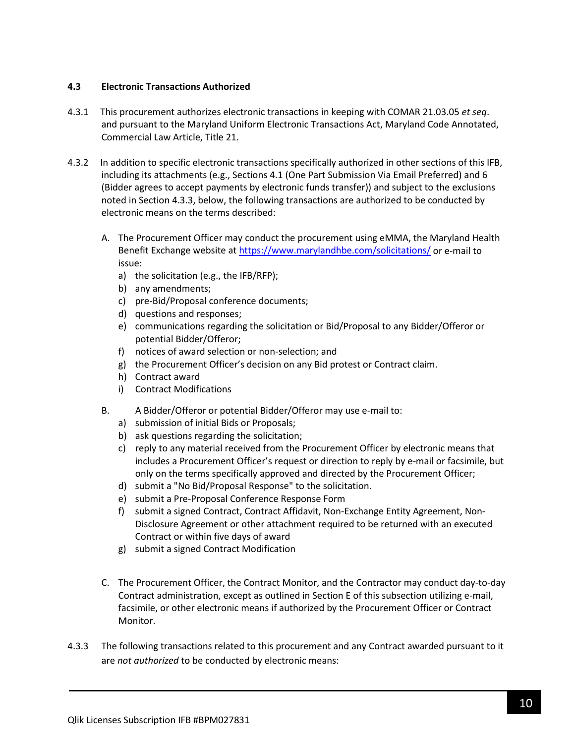### **4.3 Electronic Transactions Authorized**

- 4.3.1 This procurement authorizes electronic transactions in keeping with COMAR 21.03.05 *et seq*. and pursuant to the Maryland Uniform Electronic Transactions Act, Maryland Code Annotated, Commercial Law Article, Title 21.
- 4.3.2 In addition to specific electronic transactions specifically authorized in other sections of this IFB, including its attachments (e.g., Sections 4.1 (One Part Submission Via Email Preferred) and 6 (Bidder agrees to accept payments by electronic funds transfer)) and subject to the exclusions noted in Section 4.3.3, below, the following transactions are authorized to be conducted by electronic means on the terms described:
	- A. The Procurement Officer may conduct the procurement using eMMA, the Maryland Health Benefit Exchange website a[t https://www.marylandhbe.com/solicitations/](https://www.marylandhbe.com/solicitations/) or e-mail to issue:
		- a) the solicitation (e.g., the IFB/RFP);
		- b) any amendments;
		- c) pre-Bid/Proposal conference documents;
		- d) questions and responses;
		- e) communications regarding the solicitation or Bid/Proposal to any Bidder/Offeror or potential Bidder/Offeror;
		- f) notices of award selection or non-selection; and
		- g) the Procurement Officer's decision on any Bid protest or Contract claim.
		- h) Contract award
		- i) Contract Modifications
	- B. A Bidder/Offeror or potential Bidder/Offeror may use e-mail to:
		- a) submission of initial Bids or Proposals;
		- b) ask questions regarding the solicitation;
		- c) reply to any material received from the Procurement Officer by electronic means that includes a Procurement Officer's request or direction to reply by e-mail or facsimile, but only on the terms specifically approved and directed by the Procurement Officer;
		- d) submit a "No Bid/Proposal Response" to the solicitation.
		- e) submit a Pre-Proposal Conference Response Form
		- f) submit a signed Contract, Contract Affidavit, Non-Exchange Entity Agreement, Non-Disclosure Agreement or other attachment required to be returned with an executed Contract or within five days of award
		- g) submit a signed Contract Modification
	- C. The Procurement Officer, the Contract Monitor, and the Contractor may conduct day-to-day Contract administration, except as outlined in Section E of this subsection utilizing e-mail, facsimile, or other electronic means if authorized by the Procurement Officer or Contract Monitor.
- 4.3.3 The following transactions related to this procurement and any Contract awarded pursuant to it are *not authorized* to be conducted by electronic means: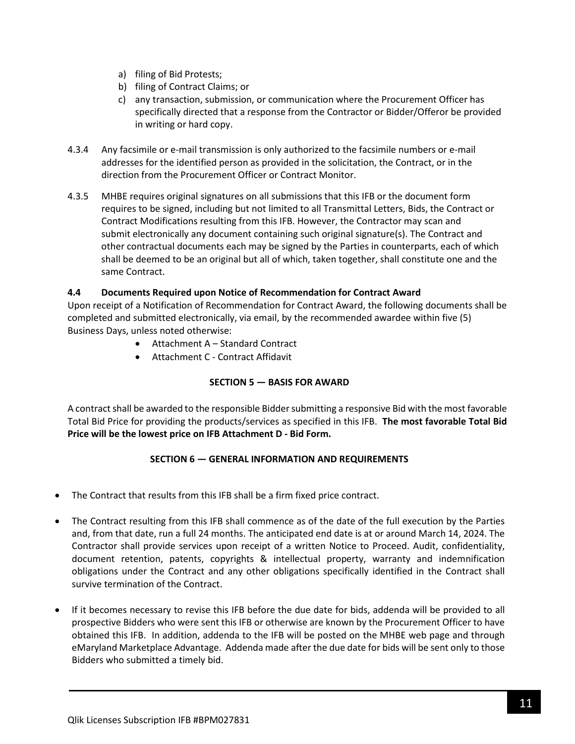- a) filing of Bid Protests;
- b) filing of Contract Claims; or
- c) any transaction, submission, or communication where the Procurement Officer has specifically directed that a response from the Contractor or Bidder/Offeror be provided in writing or hard copy.
- 4.3.4 Any facsimile or e-mail transmission is only authorized to the facsimile numbers or e-mail addresses for the identified person as provided in the solicitation, the Contract, or in the direction from the Procurement Officer or Contract Monitor.
- 4.3.5 MHBE requires original signatures on all submissions that this IFB or the document form requires to be signed, including but not limited to all Transmittal Letters, Bids, the Contract or Contract Modifications resulting from this IFB. However, the Contractor may scan and submit electronically any document containing such original signature(s). The Contract and other contractual documents each may be signed by the Parties in counterparts, each of which shall be deemed to be an original but all of which, taken together, shall constitute one and the same Contract.

### **4.4 Documents Required upon Notice of Recommendation for Contract Award**

Upon receipt of a Notification of Recommendation for Contract Award, the following documents shall be completed and submitted electronically, via email, by the recommended awardee within five (5) Business Days, unless noted otherwise:

- Attachment A Standard Contract
- Attachment C Contract Affidavit

### **SECTION 5 — BASIS FOR AWARD**

<span id="page-10-0"></span>A contract shall be awarded to the responsible Bidder submitting a responsive Bid with the most favorable Total Bid Price for providing the products/services as specified in this IFB. **The most favorable Total Bid Price will be the lowest price on IFB Attachment D - Bid Form.**

### **SECTION 6 — GENERAL INFORMATION AND REQUIREMENTS**

- <span id="page-10-1"></span>• The Contract that results from this IFB shall be a firm fixed price contract.
- The Contract resulting from this IFB shall commence as of the date of the full execution by the Parties and, from that date, run a full 24 months. The anticipated end date is at or around March 14, 2024. The Contractor shall provide services upon receipt of a written Notice to Proceed. Audit, confidentiality, document retention, patents, copyrights & intellectual property, warranty and indemnification obligations under the Contract and any other obligations specifically identified in the Contract shall survive termination of the Contract.
- If it becomes necessary to revise this IFB before the due date for bids, addenda will be provided to all prospective Bidders who were sent this IFB or otherwise are known by the Procurement Officer to have obtained this IFB. In addition, addenda to the IFB will be posted on the MHBE web page and through eMaryland Marketplace Advantage. Addenda made after the due date for bids will be sent only to those Bidders who submitted a timely bid.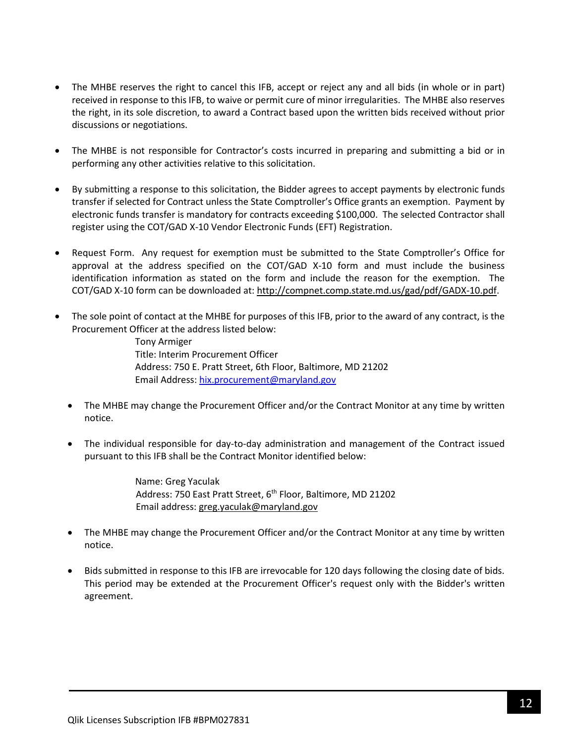- The MHBE reserves the right to cancel this IFB, accept or reject any and all bids (in whole or in part) received in response to this IFB, to waive or permit cure of minor irregularities. The MHBE also reserves the right, in its sole discretion, to award a Contract based upon the written bids received without prior discussions or negotiations.
- The MHBE is not responsible for Contractor's costs incurred in preparing and submitting a bid or in performing any other activities relative to this solicitation.
- By submitting a response to this solicitation, the Bidder agrees to accept payments by electronic funds transfer if selected for Contract unless the State Comptroller's Office grants an exemption. Payment by electronic funds transfer is mandatory for contracts exceeding \$100,000. The selected Contractor shall register using the COT/GAD X-10 Vendor Electronic Funds (EFT) Registration.
- Request Form. Any request for exemption must be submitted to the State Comptroller's Office for approval at the address specified on the COT/GAD X-10 form and must include the business identification information as stated on the form and include the reason for the exemption. The COT/GAD X-10 form can be downloaded at[: http://compnet.comp.state.md.us/gad/pdf/GADX-10.pdf.](http://compnet.comp.state.md.us/gad/pdf/GADX-10.pdf)
- The sole point of contact at the MHBE for purposes of this IFB, prior to the award of any contract, is the Procurement Officer at the address listed below:

Tony Armiger Title: Interim Procurement Officer Address: 750 E. Pratt Street, 6th Floor, Baltimore, MD 21202 Email Address: [hix.procurement@maryland.gov](mailto:hix.procurement@maryland.gov)

- The MHBE may change the Procurement Officer and/or the Contract Monitor at any time by written notice.
- The individual responsible for day-to-day administration and management of the Contract issued pursuant to this IFB shall be the Contract Monitor identified below:

Name: Greg Yaculak Address: 750 East Pratt Street, 6<sup>th</sup> Floor, Baltimore, MD 21202 Email address: [greg.yaculak@maryland.gov](mailto:greg.yaculak@maryland.gov) 

- The MHBE may change the Procurement Officer and/or the Contract Monitor at any time by written notice.
- Bids submitted in response to this IFB are irrevocable for 120 days following the closing date of bids. This period may be extended at the Procurement Officer's request only with the Bidder's written agreement.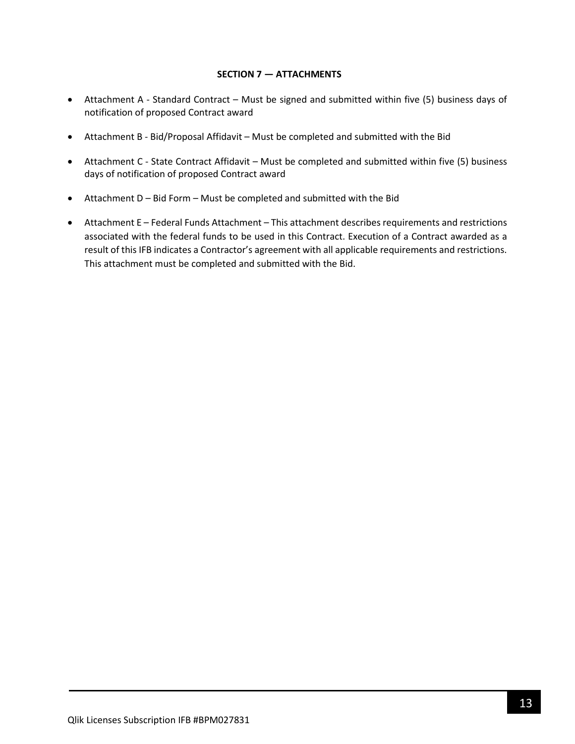#### **SECTION 7 — ATTACHMENTS**

- <span id="page-12-0"></span>• Attachment A - Standard Contract – Must be signed and submitted within five (5) business days of notification of proposed Contract award
- Attachment B Bid/Proposal Affidavit Must be completed and submitted with the Bid
- Attachment C State Contract Affidavit Must be completed and submitted within five (5) business days of notification of proposed Contract award
- Attachment D Bid Form Must be completed and submitted with the Bid
- Attachment E Federal Funds Attachment This attachment describes requirements and restrictions associated with the federal funds to be used in this Contract. Execution of a Contract awarded as a result of this IFB indicates a Contractor's agreement with all applicable requirements and restrictions. This attachment must be completed and submitted with the Bid.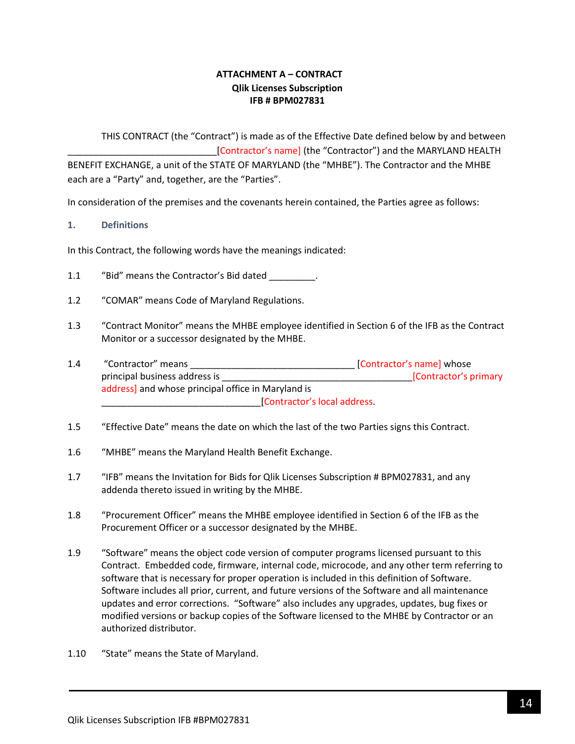### **ATTACHMENT A – CONTRACT Qlik Licenses Subscription IFB # BPM027831**

<span id="page-13-0"></span>THIS CONTRACT (the "Contract") is made as of the Effective Date defined below by and between [Contractor's name] (the "Contractor") and the MARYLAND HEALTH BENEFIT EXCHANGE, a unit of the STATE OF MARYLAND (the "MHBE"). The Contractor and the MHBE each are a "Party" and, together, are the "Parties".

In consideration of the premises and the covenants herein contained, the Parties agree as follows:

#### **1. Definitions**

In this Contract, the following words have the meanings indicated:

- 1.1 "Bid" means the Contractor's Bid dated \_\_\_\_\_\_\_\_.
- 1.2 "COMAR" means Code of Maryland Regulations.
- 1.3 "Contract Monitor" means the MHBE employee identified in Section 6 of the IFB as the Contract Monitor or a successor designated by the MHBE.
- 1.4 "Contractor" means \_\_\_\_\_\_\_\_\_\_\_\_\_\_\_\_\_\_\_\_\_\_\_\_\_\_\_\_\_\_\_\_ [Contractor's name] whose principal business address is \_\_\_\_\_\_\_\_\_\_\_\_\_\_\_\_\_\_\_\_\_\_\_\_\_\_\_\_\_\_\_\_\_\_\_\_\_[Contractor's primary address] and whose principal office in Maryland is \_\_\_\_\_\_\_\_\_\_\_\_\_\_\_\_\_\_\_\_\_\_\_\_\_\_\_\_\_\_\_[Contractor's local address.
- 1.5 "Effective Date" means the date on which the last of the two Parties signs this Contract.
- 1.6 "MHBE" means the Maryland Health Benefit Exchange.
- 1.7 "IFB" means the Invitation for Bids for Qlik Licenses Subscription # BPM027831, and any addenda thereto issued in writing by the MHBE.
- 1.8 "Procurement Officer" means the MHBE employee identified in Section 6 of the IFB as the Procurement Officer or a successor designated by the MHBE.
- 1.9 "Software" means the object code version of computer programs licensed pursuant to this Contract. Embedded code, firmware, internal code, microcode, and any other term referring to software that is necessary for proper operation is included in this definition of Software. Software includes all prior, current, and future versions of the Software and all maintenance updates and error corrections. "Software" also includes any upgrades, updates, bug fixes or modified versions or backup copies of the Software licensed to the MHBE by Contractor or an authorized distributor.
- 1.10 "State" means the State of Maryland.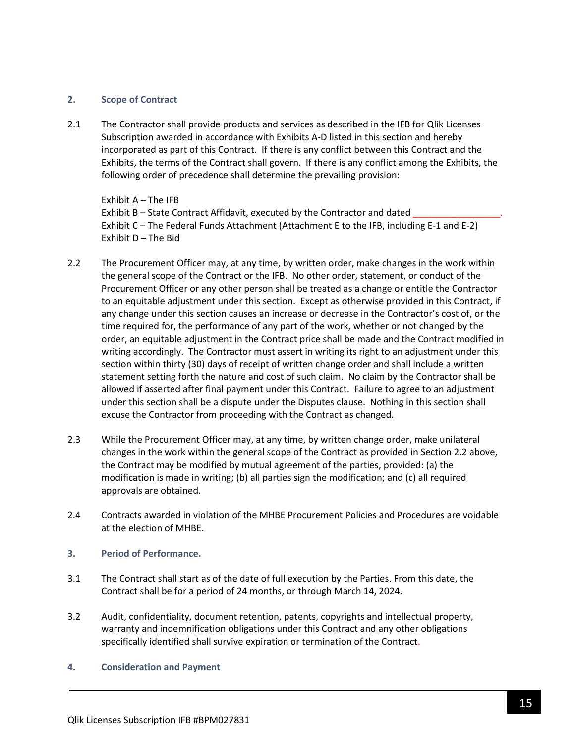#### **2. Scope of Contract**

2.1 The Contractor shall provide products and services as described in the IFB for Qlik Licenses Subscription awarded in accordance with Exhibits A-D listed in this section and hereby incorporated as part of this Contract. If there is any conflict between this Contract and the Exhibits, the terms of the Contract shall govern. If there is any conflict among the Exhibits, the following order of precedence shall determine the prevailing provision:

Exhibit A – The IFB Exhibit B – State Contract Affidavit, executed by the Contractor and dated Exhibit C – The Federal Funds Attachment (Attachment E to the IFB, including E-1 and E-2) Exhibit D – The Bid

- 2.2 The Procurement Officer may, at any time, by written order, make changes in the work within the general scope of the Contract or the IFB. No other order, statement, or conduct of the Procurement Officer or any other person shall be treated as a change or entitle the Contractor to an equitable adjustment under this section. Except as otherwise provided in this Contract, if any change under this section causes an increase or decrease in the Contractor's cost of, or the time required for, the performance of any part of the work, whether or not changed by the order, an equitable adjustment in the Contract price shall be made and the Contract modified in writing accordingly. The Contractor must assert in writing its right to an adjustment under this section within thirty (30) days of receipt of written change order and shall include a written statement setting forth the nature and cost of such claim. No claim by the Contractor shall be allowed if asserted after final payment under this Contract. Failure to agree to an adjustment under this section shall be a dispute under the Disputes clause. Nothing in this section shall excuse the Contractor from proceeding with the Contract as changed.
- 2.3 While the Procurement Officer may, at any time, by written change order, make unilateral changes in the work within the general scope of the Contract as provided in Section 2.2 above, the Contract may be modified by mutual agreement of the parties, provided: (a) the modification is made in writing; (b) all parties sign the modification; and (c) all required approvals are obtained.
- 2.4 Contracts awarded in violation of the MHBE Procurement Policies and Procedures are voidable at the election of MHBE.
- **3. Period of Performance.**
- 3.1 The Contract shall start as of the date of full execution by the Parties. From this date, the Contract shall be for a period of 24 months, or through March 14, 2024.
- 3.2 Audit, confidentiality, document retention, patents, copyrights and intellectual property, warranty and indemnification obligations under this Contract and any other obligations specifically identified shall survive expiration or termination of the Contract.
- **4. Consideration and Payment**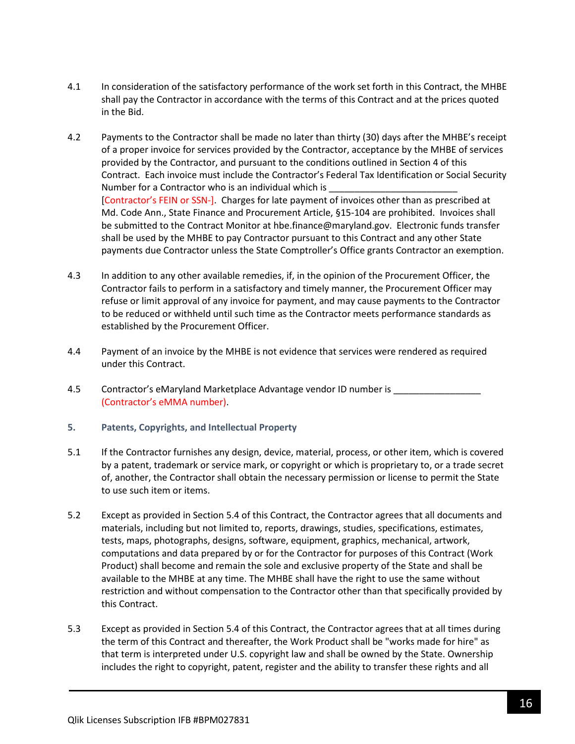- 4.1 In consideration of the satisfactory performance of the work set forth in this Contract, the MHBE shall pay the Contractor in accordance with the terms of this Contract and at the prices quoted in the Bid.
- 4.2 Payments to the Contractor shall be made no later than thirty (30) days after the MHBE's receipt of a proper invoice for services provided by the Contractor, acceptance by the MHBE of services provided by the Contractor, and pursuant to the conditions outlined in Section 4 of this Contract. Each invoice must include the Contractor's Federal Tax Identification or Social Security Number for a Contractor who is an individual which is [Contractor's FEIN or SSN-]. Charges for late payment of invoices other than as prescribed at Md. Code Ann., State Finance and Procurement Article, §15-104 are prohibited. Invoices shall be submitted to the Contract Monitor at hbe.finance@maryland.gov. Electronic funds transfer shall be used by the MHBE to pay Contractor pursuant to this Contract and any other State payments due Contractor unless the State Comptroller's Office grants Contractor an exemption.
- 4.3 In addition to any other available remedies, if, in the opinion of the Procurement Officer, the Contractor fails to perform in a satisfactory and timely manner, the Procurement Officer may refuse or limit approval of any invoice for payment, and may cause payments to the Contractor to be reduced or withheld until such time as the Contractor meets performance standards as established by the Procurement Officer.
- 4.4 Payment of an invoice by the MHBE is not evidence that services were rendered as required under this Contract.
- 4.5 Contractor's eMaryland Marketplace Advantage vendor ID number is (Contractor's eMMA number).
- **5. Patents, Copyrights, and Intellectual Property**
- 5.1 If the Contractor furnishes any design, device, material, process, or other item, which is covered by a patent, trademark or service mark, or copyright or which is proprietary to, or a trade secret of, another, the Contractor shall obtain the necessary permission or license to permit the State to use such item or items.
- 5.2 Except as provided in Section 5.4 of this Contract, the Contractor agrees that all documents and materials, including but not limited to, reports, drawings, studies, specifications, estimates, tests, maps, photographs, designs, software, equipment, graphics, mechanical, artwork, computations and data prepared by or for the Contractor for purposes of this Contract (Work Product) shall become and remain the sole and exclusive property of the State and shall be available to the MHBE at any time. The MHBE shall have the right to use the same without restriction and without compensation to the Contractor other than that specifically provided by this Contract.
- 5.3 Except as provided in Section 5.4 of this Contract, the Contractor agrees that at all times during the term of this Contract and thereafter, the Work Product shall be "works made for hire" as that term is interpreted under U.S. copyright law and shall be owned by the State. Ownership includes the right to copyright, patent, register and the ability to transfer these rights and all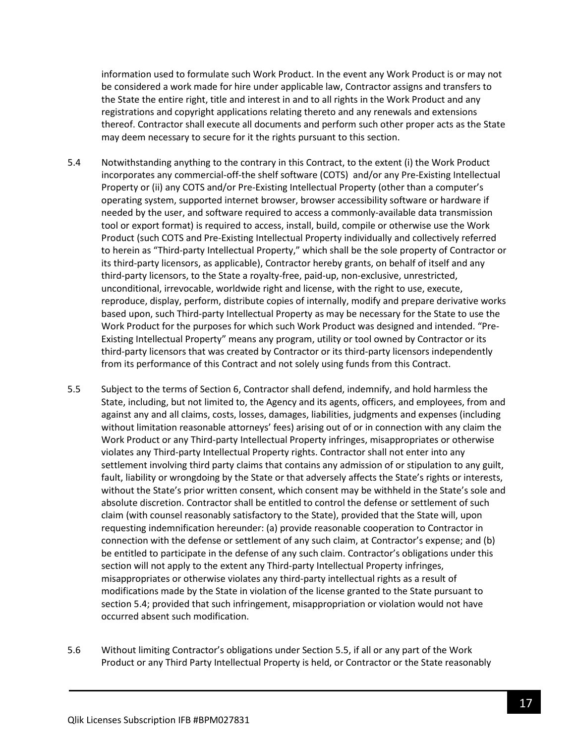information used to formulate such Work Product. In the event any Work Product is or may not be considered a work made for hire under applicable law, Contractor assigns and transfers to the State the entire right, title and interest in and to all rights in the Work Product and any registrations and copyright applications relating thereto and any renewals and extensions thereof. Contractor shall execute all documents and perform such other proper acts as the State may deem necessary to secure for it the rights pursuant to this section.

- 5.4 Notwithstanding anything to the contrary in this Contract, to the extent (i) the Work Product incorporates any commercial-off-the shelf software (COTS) and/or any Pre-Existing Intellectual Property or (ii) any COTS and/or Pre-Existing Intellectual Property (other than a computer's operating system, supported internet browser, browser accessibility software or hardware if needed by the user, and software required to access a commonly-available data transmission tool or export format) is required to access, install, build, compile or otherwise use the Work Product (such COTS and Pre-Existing Intellectual Property individually and collectively referred to herein as "Third-party Intellectual Property," which shall be the sole property of Contractor or its third-party licensors, as applicable), Contractor hereby grants, on behalf of itself and any third-party licensors, to the State a royalty-free, paid-up, non-exclusive, unrestricted, unconditional, irrevocable, worldwide right and license, with the right to use, execute, reproduce, display, perform, distribute copies of internally, modify and prepare derivative works based upon, such Third-party Intellectual Property as may be necessary for the State to use the Work Product for the purposes for which such Work Product was designed and intended. "Pre-Existing Intellectual Property" means any program, utility or tool owned by Contractor or its third-party licensors that was created by Contractor or its third-party licensors independently from its performance of this Contract and not solely using funds from this Contract.
- 5.5 Subject to the terms of Section 6, Contractor shall defend, indemnify, and hold harmless the State, including, but not limited to, the Agency and its agents, officers, and employees, from and against any and all claims, costs, losses, damages, liabilities, judgments and expenses (including without limitation reasonable attorneys' fees) arising out of or in connection with any claim the Work Product or any Third-party Intellectual Property infringes, misappropriates or otherwise violates any Third-party Intellectual Property rights. Contractor shall not enter into any settlement involving third party claims that contains any admission of or stipulation to any guilt, fault, liability or wrongdoing by the State or that adversely affects the State's rights or interests, without the State's prior written consent, which consent may be withheld in the State's sole and absolute discretion. Contractor shall be entitled to control the defense or settlement of such claim (with counsel reasonably satisfactory to the State), provided that the State will, upon requesting indemnification hereunder: (a) provide reasonable cooperation to Contractor in connection with the defense or settlement of any such claim, at Contractor's expense; and (b) be entitled to participate in the defense of any such claim. Contractor's obligations under this section will not apply to the extent any Third-party Intellectual Property infringes, misappropriates or otherwise violates any third-party intellectual rights as a result of modifications made by the State in violation of the license granted to the State pursuant to section 5.4; provided that such infringement, misappropriation or violation would not have occurred absent such modification.
- 5.6 Without limiting Contractor's obligations under Section 5.5, if all or any part of the Work Product or any Third Party Intellectual Property is held, or Contractor or the State reasonably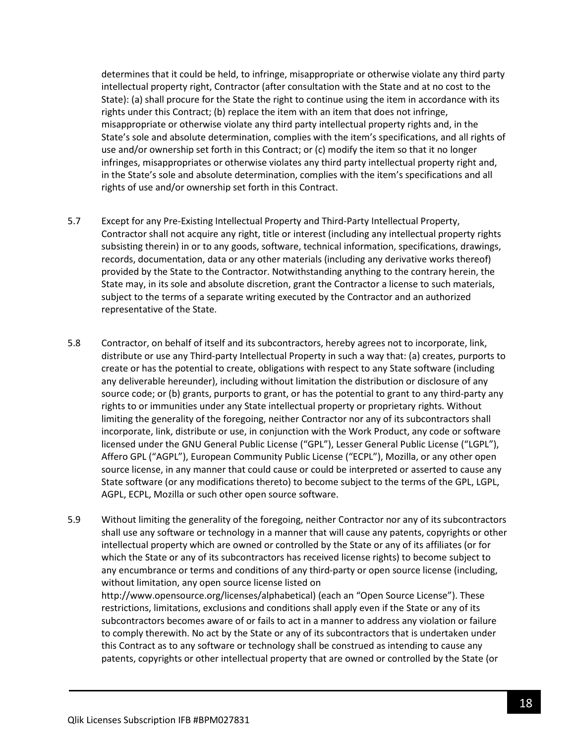determines that it could be held, to infringe, misappropriate or otherwise violate any third party intellectual property right, Contractor (after consultation with the State and at no cost to the State): (a) shall procure for the State the right to continue using the item in accordance with its rights under this Contract; (b) replace the item with an item that does not infringe, misappropriate or otherwise violate any third party intellectual property rights and, in the State's sole and absolute determination, complies with the item's specifications, and all rights of use and/or ownership set forth in this Contract; or (c) modify the item so that it no longer infringes, misappropriates or otherwise violates any third party intellectual property right and, in the State's sole and absolute determination, complies with the item's specifications and all rights of use and/or ownership set forth in this Contract.

- 5.7 Except for any Pre-Existing Intellectual Property and Third-Party Intellectual Property, Contractor shall not acquire any right, title or interest (including any intellectual property rights subsisting therein) in or to any goods, software, technical information, specifications, drawings, records, documentation, data or any other materials (including any derivative works thereof) provided by the State to the Contractor. Notwithstanding anything to the contrary herein, the State may, in its sole and absolute discretion, grant the Contractor a license to such materials, subject to the terms of a separate writing executed by the Contractor and an authorized representative of the State.
- 5.8 Contractor, on behalf of itself and its subcontractors, hereby agrees not to incorporate, link, distribute or use any Third-party Intellectual Property in such a way that: (a) creates, purports to create or has the potential to create, obligations with respect to any State software (including any deliverable hereunder), including without limitation the distribution or disclosure of any source code; or (b) grants, purports to grant, or has the potential to grant to any third-party any rights to or immunities under any State intellectual property or proprietary rights. Without limiting the generality of the foregoing, neither Contractor nor any of its subcontractors shall incorporate, link, distribute or use, in conjunction with the Work Product, any code or software licensed under the GNU General Public License ("GPL"), Lesser General Public License ("LGPL"), Affero GPL ("AGPL"), European Community Public License ("ECPL"), Mozilla, or any other open source license, in any manner that could cause or could be interpreted or asserted to cause any State software (or any modifications thereto) to become subject to the terms of the GPL, LGPL, AGPL, ECPL, Mozilla or such other open source software.
- 5.9 Without limiting the generality of the foregoing, neither Contractor nor any of its subcontractors shall use any software or technology in a manner that will cause any patents, copyrights or other intellectual property which are owned or controlled by the State or any of its affiliates (or for which the State or any of its subcontractors has received license rights) to become subject to any encumbrance or terms and conditions of any third-party or open source license (including, without limitation, any open source license listed on http://www.opensource.org/licenses/alphabetical) (each an "Open Source License"). These restrictions, limitations, exclusions and conditions shall apply even if the State or any of its subcontractors becomes aware of or fails to act in a manner to address any violation or failure to comply therewith. No act by the State or any of its subcontractors that is undertaken under this Contract as to any software or technology shall be construed as intending to cause any patents, copyrights or other intellectual property that are owned or controlled by the State (or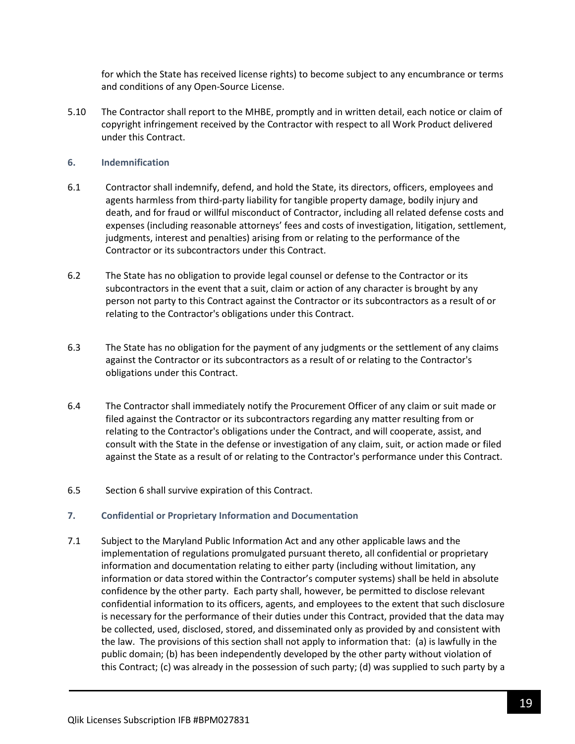for which the State has received license rights) to become subject to any encumbrance or terms and conditions of any Open-Source License.

5.10 The Contractor shall report to the MHBE, promptly and in written detail, each notice or claim of copyright infringement received by the Contractor with respect to all Work Product delivered under this Contract.

#### **6. Indemnification**

- 6.1 Contractor shall indemnify, defend, and hold the State, its directors, officers, employees and agents harmless from third-party liability for tangible property damage, bodily injury and death, and for fraud or willful misconduct of Contractor, including all related defense costs and expenses (including reasonable attorneys' fees and costs of investigation, litigation, settlement, judgments, interest and penalties) arising from or relating to the performance of the Contractor or its subcontractors under this Contract.
- 6.2 The State has no obligation to provide legal counsel or defense to the Contractor or its subcontractors in the event that a suit, claim or action of any character is brought by any person not party to this Contract against the Contractor or its subcontractors as a result of or relating to the Contractor's obligations under this Contract.
- 6.3 The State has no obligation for the payment of any judgments or the settlement of any claims against the Contractor or its subcontractors as a result of or relating to the Contractor's obligations under this Contract.
- 6.4 The Contractor shall immediately notify the Procurement Officer of any claim or suit made or filed against the Contractor or its subcontractors regarding any matter resulting from or relating to the Contractor's obligations under the Contract, and will cooperate, assist, and consult with the State in the defense or investigation of any claim, suit, or action made or filed against the State as a result of or relating to the Contractor's performance under this Contract.
- 6.5 Section 6 shall survive expiration of this Contract.

#### **7. Confidential or Proprietary Information and Documentation**

7.1 Subject to the Maryland Public Information Act and any other applicable laws and the implementation of regulations promulgated pursuant thereto, all confidential or proprietary information and documentation relating to either party (including without limitation, any information or data stored within the Contractor's computer systems) shall be held in absolute confidence by the other party. Each party shall, however, be permitted to disclose relevant confidential information to its officers, agents, and employees to the extent that such disclosure is necessary for the performance of their duties under this Contract, provided that the data may be collected, used, disclosed, stored, and disseminated only as provided by and consistent with the law. The provisions of this section shall not apply to information that: (a) is lawfully in the public domain; (b) has been independently developed by the other party without violation of this Contract; (c) was already in the possession of such party; (d) was supplied to such party by a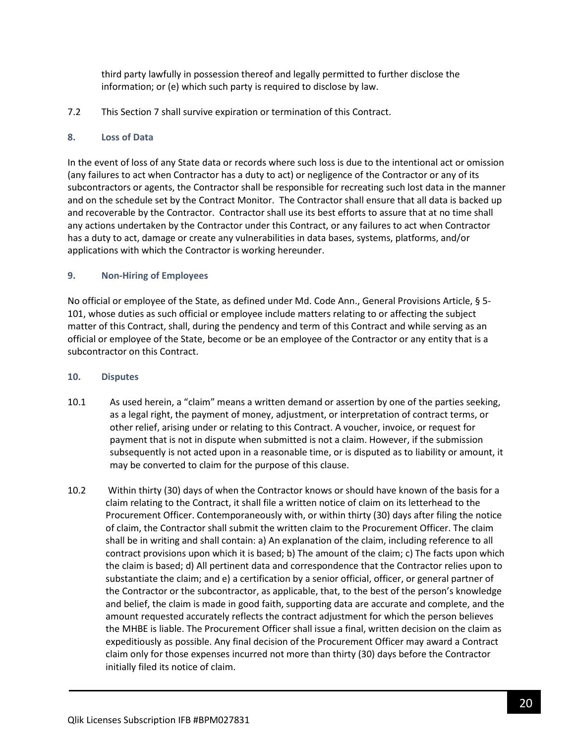third party lawfully in possession thereof and legally permitted to further disclose the information; or (e) which such party is required to disclose by law.

7.2 This Section 7 shall survive expiration or termination of this Contract.

### **8. Loss of Data**

In the event of loss of any State data or records where such loss is due to the intentional act or omission (any failures to act when Contractor has a duty to act) or negligence of the Contractor or any of its subcontractors or agents, the Contractor shall be responsible for recreating such lost data in the manner and on the schedule set by the Contract Monitor. The Contractor shall ensure that all data is backed up and recoverable by the Contractor. Contractor shall use its best efforts to assure that at no time shall any actions undertaken by the Contractor under this Contract, or any failures to act when Contractor has a duty to act, damage or create any vulnerabilities in data bases, systems, platforms, and/or applications with which the Contractor is working hereunder.

### **9. Non-Hiring of Employees**

No official or employee of the State, as defined under Md. Code Ann., General Provisions Article, § 5- 101, whose duties as such official or employee include matters relating to or affecting the subject matter of this Contract, shall, during the pendency and term of this Contract and while serving as an official or employee of the State, become or be an employee of the Contractor or any entity that is a subcontractor on this Contract.

#### **10. Disputes**

- 10.1 As used herein, a "claim" means a written demand or assertion by one of the parties seeking, as a legal right, the payment of money, adjustment, or interpretation of contract terms, or other relief, arising under or relating to this Contract. A voucher, invoice, or request for payment that is not in dispute when submitted is not a claim. However, if the submission subsequently is not acted upon in a reasonable time, or is disputed as to liability or amount, it may be converted to claim for the purpose of this clause.
- 10.2 Within thirty (30) days of when the Contractor knows or should have known of the basis for a claim relating to the Contract, it shall file a written notice of claim on its letterhead to the Procurement Officer. Contemporaneously with, or within thirty (30) days after filing the notice of claim, the Contractor shall submit the written claim to the Procurement Officer. The claim shall be in writing and shall contain: a) An explanation of the claim, including reference to all contract provisions upon which it is based; b) The amount of the claim; c) The facts upon which the claim is based; d) All pertinent data and correspondence that the Contractor relies upon to substantiate the claim; and e) a certification by a senior official, officer, or general partner of the Contractor or the subcontractor, as applicable, that, to the best of the person's knowledge and belief, the claim is made in good faith, supporting data are accurate and complete, and the amount requested accurately reflects the contract adjustment for which the person believes the MHBE is liable. The Procurement Officer shall issue a final, written decision on the claim as expeditiously as possible. Any final decision of the Procurement Officer may award a Contract claim only for those expenses incurred not more than thirty (30) days before the Contractor initially filed its notice of claim.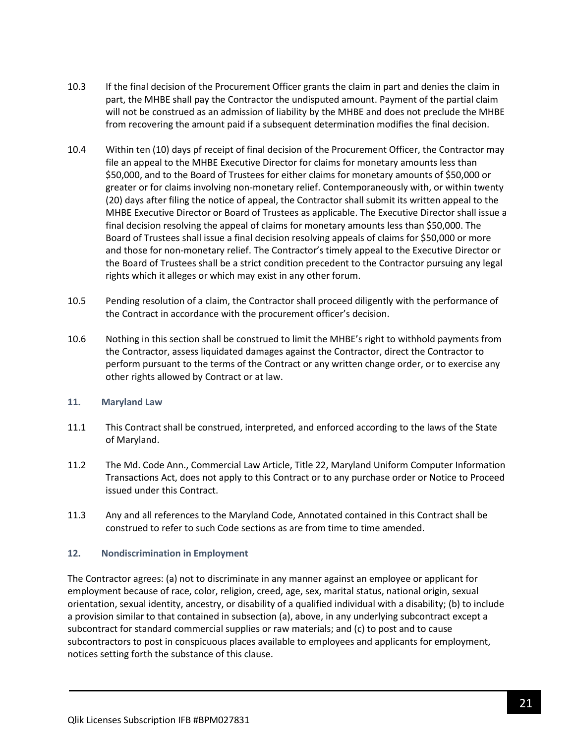- 10.3 If the final decision of the Procurement Officer grants the claim in part and denies the claim in part, the MHBE shall pay the Contractor the undisputed amount. Payment of the partial claim will not be construed as an admission of liability by the MHBE and does not preclude the MHBE from recovering the amount paid if a subsequent determination modifies the final decision.
- 10.4 Within ten (10) days pf receipt of final decision of the Procurement Officer, the Contractor may file an appeal to the MHBE Executive Director for claims for monetary amounts less than \$50,000, and to the Board of Trustees for either claims for monetary amounts of \$50,000 or greater or for claims involving non-monetary relief. Contemporaneously with, or within twenty (20) days after filing the notice of appeal, the Contractor shall submit its written appeal to the MHBE Executive Director or Board of Trustees as applicable. The Executive Director shall issue a final decision resolving the appeal of claims for monetary amounts less than \$50,000. The Board of Trustees shall issue a final decision resolving appeals of claims for \$50,000 or more and those for non-monetary relief. The Contractor's timely appeal to the Executive Director or the Board of Trustees shall be a strict condition precedent to the Contractor pursuing any legal rights which it alleges or which may exist in any other forum.
- 10.5 Pending resolution of a claim, the Contractor shall proceed diligently with the performance of the Contract in accordance with the procurement officer's decision.
- 10.6 Nothing in this section shall be construed to limit the MHBE's right to withhold payments from the Contractor, assess liquidated damages against the Contractor, direct the Contractor to perform pursuant to the terms of the Contract or any written change order, or to exercise any other rights allowed by Contract or at law.

#### **11. Maryland Law**

- 11.1 This Contract shall be construed, interpreted, and enforced according to the laws of the State of Maryland.
- 11.2 The Md. Code Ann., Commercial Law Article, Title 22, Maryland Uniform Computer Information Transactions Act, does not apply to this Contract or to any purchase order or Notice to Proceed issued under this Contract.
- 11.3 Any and all references to the Maryland Code, Annotated contained in this Contract shall be construed to refer to such Code sections as are from time to time amended.

#### **12. Nondiscrimination in Employment**

The Contractor agrees: (a) not to discriminate in any manner against an employee or applicant for employment because of race, color, religion, creed, age, sex, marital status, national origin, sexual orientation, sexual identity, ancestry, or disability of a qualified individual with a disability; (b) to include a provision similar to that contained in subsection (a), above, in any underlying subcontract except a subcontract for standard commercial supplies or raw materials; and (c) to post and to cause subcontractors to post in conspicuous places available to employees and applicants for employment, notices setting forth the substance of this clause.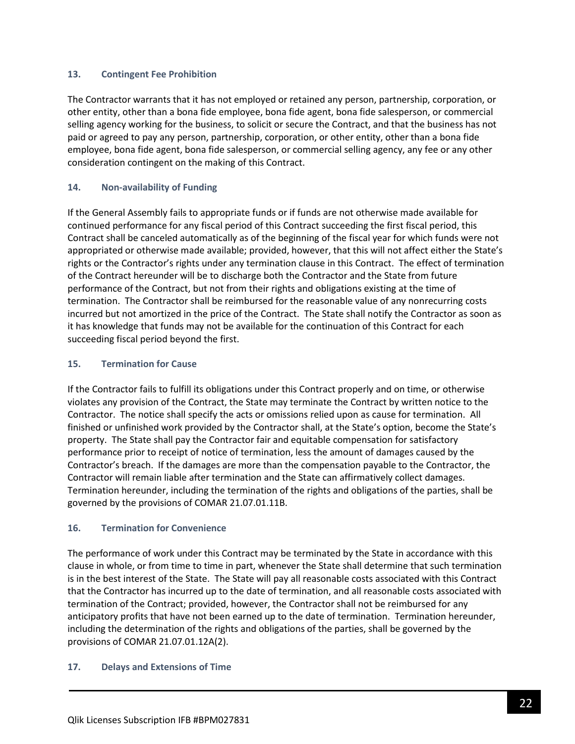### **13. Contingent Fee Prohibition**

The Contractor warrants that it has not employed or retained any person, partnership, corporation, or other entity, other than a bona fide employee, bona fide agent, bona fide salesperson, or commercial selling agency working for the business, to solicit or secure the Contract, and that the business has not paid or agreed to pay any person, partnership, corporation, or other entity, other than a bona fide employee, bona fide agent, bona fide salesperson, or commercial selling agency, any fee or any other consideration contingent on the making of this Contract.

### **14. Non-availability of Funding**

If the General Assembly fails to appropriate funds or if funds are not otherwise made available for continued performance for any fiscal period of this Contract succeeding the first fiscal period, this Contract shall be canceled automatically as of the beginning of the fiscal year for which funds were not appropriated or otherwise made available; provided, however, that this will not affect either the State's rights or the Contractor's rights under any termination clause in this Contract. The effect of termination of the Contract hereunder will be to discharge both the Contractor and the State from future performance of the Contract, but not from their rights and obligations existing at the time of termination. The Contractor shall be reimbursed for the reasonable value of any nonrecurring costs incurred but not amortized in the price of the Contract. The State shall notify the Contractor as soon as it has knowledge that funds may not be available for the continuation of this Contract for each succeeding fiscal period beyond the first.

### **15. Termination for Cause**

If the Contractor fails to fulfill its obligations under this Contract properly and on time, or otherwise violates any provision of the Contract, the State may terminate the Contract by written notice to the Contractor. The notice shall specify the acts or omissions relied upon as cause for termination. All finished or unfinished work provided by the Contractor shall, at the State's option, become the State's property. The State shall pay the Contractor fair and equitable compensation for satisfactory performance prior to receipt of notice of termination, less the amount of damages caused by the Contractor's breach. If the damages are more than the compensation payable to the Contractor, the Contractor will remain liable after termination and the State can affirmatively collect damages. Termination hereunder, including the termination of the rights and obligations of the parties, shall be governed by the provisions of COMAR 21.07.01.11B.

#### **16. Termination for Convenience**

The performance of work under this Contract may be terminated by the State in accordance with this clause in whole, or from time to time in part, whenever the State shall determine that such termination is in the best interest of the State. The State will pay all reasonable costs associated with this Contract that the Contractor has incurred up to the date of termination, and all reasonable costs associated with termination of the Contract; provided, however, the Contractor shall not be reimbursed for any anticipatory profits that have not been earned up to the date of termination. Termination hereunder, including the determination of the rights and obligations of the parties, shall be governed by the provisions of COMAR 21.07.01.12A(2).

#### **17. Delays and Extensions of Time**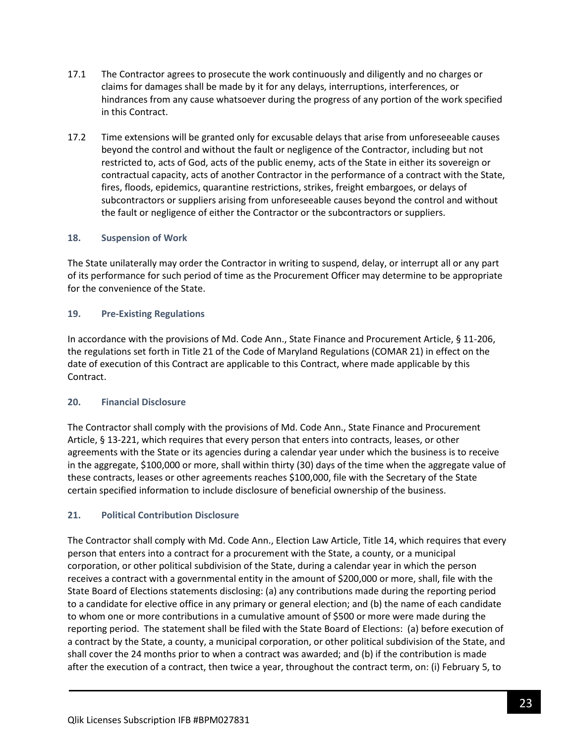- 17.1 The Contractor agrees to prosecute the work continuously and diligently and no charges or claims for damages shall be made by it for any delays, interruptions, interferences, or hindrances from any cause whatsoever during the progress of any portion of the work specified in this Contract.
- 17.2 Time extensions will be granted only for excusable delays that arise from unforeseeable causes beyond the control and without the fault or negligence of the Contractor, including but not restricted to, acts of God, acts of the public enemy, acts of the State in either its sovereign or contractual capacity, acts of another Contractor in the performance of a contract with the State, fires, floods, epidemics, quarantine restrictions, strikes, freight embargoes, or delays of subcontractors or suppliers arising from unforeseeable causes beyond the control and without the fault or negligence of either the Contractor or the subcontractors or suppliers.

### **18. Suspension of Work**

The State unilaterally may order the Contractor in writing to suspend, delay, or interrupt all or any part of its performance for such period of time as the Procurement Officer may determine to be appropriate for the convenience of the State.

#### **19. Pre-Existing Regulations**

In accordance with the provisions of Md. Code Ann., State Finance and Procurement Article, § 11-206, the regulations set forth in Title 21 of the Code of Maryland Regulations (COMAR 21) in effect on the date of execution of this Contract are applicable to this Contract, where made applicable by this Contract.

#### **20. Financial Disclosure**

The Contractor shall comply with the provisions of Md. Code Ann., State Finance and Procurement Article, § 13-221, which requires that every person that enters into contracts, leases, or other agreements with the State or its agencies during a calendar year under which the business is to receive in the aggregate, \$100,000 or more, shall within thirty (30) days of the time when the aggregate value of these contracts, leases or other agreements reaches \$100,000, file with the Secretary of the State certain specified information to include disclosure of beneficial ownership of the business.

#### **21. Political Contribution Disclosure**

The Contractor shall comply with Md. Code Ann., Election Law Article, Title 14, which requires that every person that enters into a contract for a procurement with the State, a county, or a municipal corporation, or other political subdivision of the State, during a calendar year in which the person receives a contract with a governmental entity in the amount of \$200,000 or more, shall, file with the State Board of Elections statements disclosing: (a) any contributions made during the reporting period to a candidate for elective office in any primary or general election; and (b) the name of each candidate to whom one or more contributions in a cumulative amount of \$500 or more were made during the reporting period. The statement shall be filed with the State Board of Elections: (a) before execution of a contract by the State, a county, a municipal corporation, or other political subdivision of the State, and shall cover the 24 months prior to when a contract was awarded; and (b) if the contribution is made after the execution of a contract, then twice a year, throughout the contract term, on: (i) February 5, to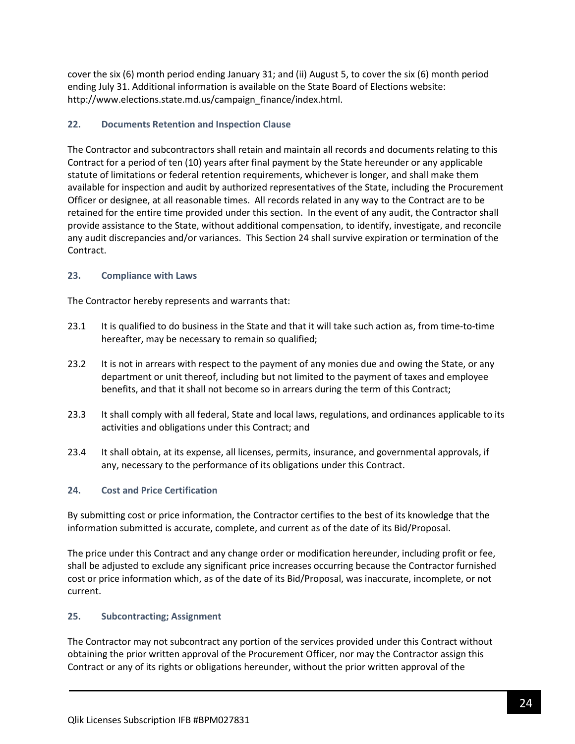cover the six (6) month period ending January 31; and (ii) August 5, to cover the six (6) month period ending July 31. Additional information is available on the State Board of Elections website: http://www.elections.state.md.us/campaign\_finance/index.html.

### **22. Documents Retention and Inspection Clause**

The Contractor and subcontractors shall retain and maintain all records and documents relating to this Contract for a period of ten (10) years after final payment by the State hereunder or any applicable statute of limitations or federal retention requirements, whichever is longer, and shall make them available for inspection and audit by authorized representatives of the State, including the Procurement Officer or designee, at all reasonable times. All records related in any way to the Contract are to be retained for the entire time provided under this section. In the event of any audit, the Contractor shall provide assistance to the State, without additional compensation, to identify, investigate, and reconcile any audit discrepancies and/or variances. This Section 24 shall survive expiration or termination of the Contract.

### **23. Compliance with Laws**

The Contractor hereby represents and warrants that:

- 23.1 It is qualified to do business in the State and that it will take such action as, from time-to-time hereafter, may be necessary to remain so qualified;
- 23.2 It is not in arrears with respect to the payment of any monies due and owing the State, or any department or unit thereof, including but not limited to the payment of taxes and employee benefits, and that it shall not become so in arrears during the term of this Contract;
- 23.3 It shall comply with all federal, State and local laws, regulations, and ordinances applicable to its activities and obligations under this Contract; and
- 23.4 It shall obtain, at its expense, all licenses, permits, insurance, and governmental approvals, if any, necessary to the performance of its obligations under this Contract.

### **24. Cost and Price Certification**

By submitting cost or price information, the Contractor certifies to the best of its knowledge that the information submitted is accurate, complete, and current as of the date of its Bid/Proposal.

The price under this Contract and any change order or modification hereunder, including profit or fee, shall be adjusted to exclude any significant price increases occurring because the Contractor furnished cost or price information which, as of the date of its Bid/Proposal, was inaccurate, incomplete, or not current.

### **25. Subcontracting; Assignment**

The Contractor may not subcontract any portion of the services provided under this Contract without obtaining the prior written approval of the Procurement Officer, nor may the Contractor assign this Contract or any of its rights or obligations hereunder, without the prior written approval of the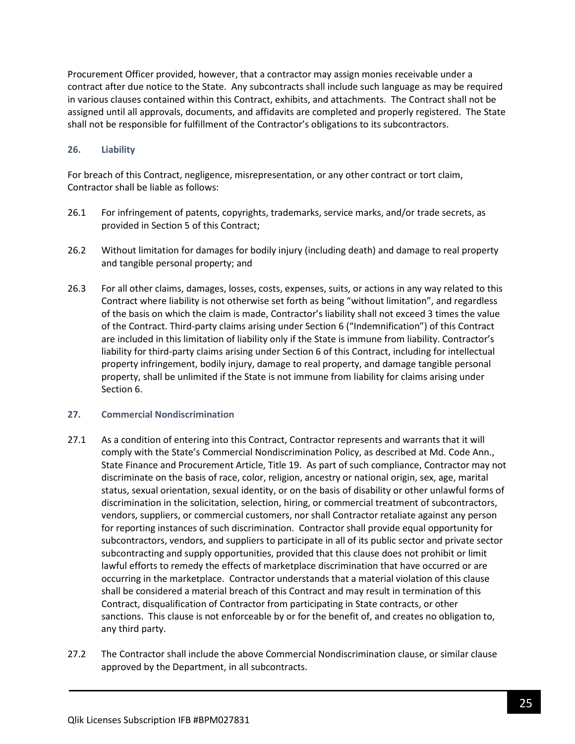Procurement Officer provided, however, that a contractor may assign monies receivable under a contract after due notice to the State. Any subcontracts shall include such language as may be required in various clauses contained within this Contract, exhibits, and attachments. The Contract shall not be assigned until all approvals, documents, and affidavits are completed and properly registered. The State shall not be responsible for fulfillment of the Contractor's obligations to its subcontractors.

### **26. Liability**

For breach of this Contract, negligence, misrepresentation, or any other contract or tort claim, Contractor shall be liable as follows:

- 26.1 For infringement of patents, copyrights, trademarks, service marks, and/or trade secrets, as provided in Section 5 of this Contract;
- 26.2 Without limitation for damages for bodily injury (including death) and damage to real property and tangible personal property; and
- 26.3 For all other claims, damages, losses, costs, expenses, suits, or actions in any way related to this Contract where liability is not otherwise set forth as being "without limitation", and regardless of the basis on which the claim is made, Contractor's liability shall not exceed 3 times the value of the Contract. Third-party claims arising under Section 6 ("Indemnification") of this Contract are included in this limitation of liability only if the State is immune from liability. Contractor's liability for third-party claims arising under Section 6 of this Contract, including for intellectual property infringement, bodily injury, damage to real property, and damage tangible personal property, shall be unlimited if the State is not immune from liability for claims arising under Section 6.

#### **27. Commercial Nondiscrimination**

- 27.1 As a condition of entering into this Contract, Contractor represents and warrants that it will comply with the State's Commercial Nondiscrimination Policy, as described at Md. Code Ann., State Finance and Procurement Article, Title 19. As part of such compliance, Contractor may not discriminate on the basis of race, color, religion, ancestry or national origin, sex, age, marital status, sexual orientation, sexual identity, or on the basis of disability or other unlawful forms of discrimination in the solicitation, selection, hiring, or commercial treatment of subcontractors, vendors, suppliers, or commercial customers, nor shall Contractor retaliate against any person for reporting instances of such discrimination. Contractor shall provide equal opportunity for subcontractors, vendors, and suppliers to participate in all of its public sector and private sector subcontracting and supply opportunities, provided that this clause does not prohibit or limit lawful efforts to remedy the effects of marketplace discrimination that have occurred or are occurring in the marketplace. Contractor understands that a material violation of this clause shall be considered a material breach of this Contract and may result in termination of this Contract, disqualification of Contractor from participating in State contracts, or other sanctions. This clause is not enforceable by or for the benefit of, and creates no obligation to, any third party.
- 27.2 The Contractor shall include the above Commercial Nondiscrimination clause, or similar clause approved by the Department, in all subcontracts.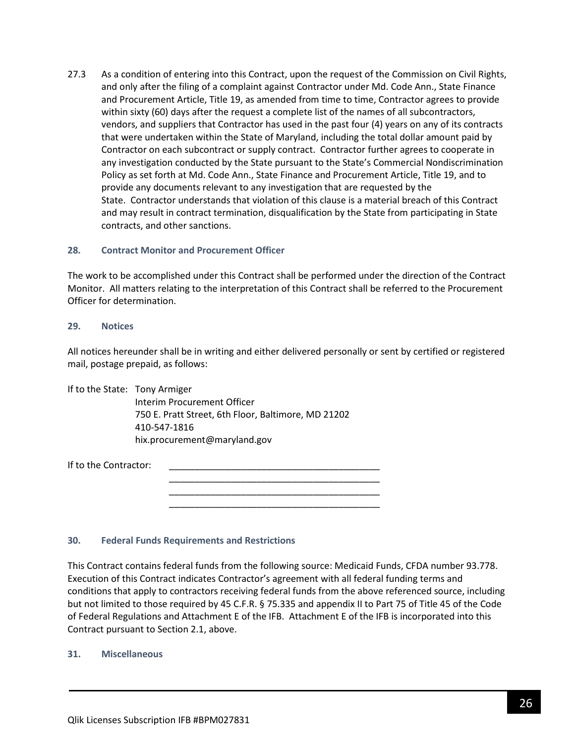27.3 As a condition of entering into this Contract, upon the request of the Commission on Civil Rights, and only after the filing of a complaint against Contractor under Md. Code Ann., State Finance and Procurement Article, Title 19, as amended from time to time, Contractor agrees to provide within sixty (60) days after the request a complete list of the names of all subcontractors, vendors, and suppliers that Contractor has used in the past four (4) years on any of its contracts that were undertaken within the State of Maryland, including the total dollar amount paid by Contractor on each subcontract or supply contract. Contractor further agrees to cooperate in any investigation conducted by the State pursuant to the State's Commercial Nondiscrimination Policy as set forth at Md. Code Ann., State Finance and Procurement Article, Title 19, and to provide any documents relevant to any investigation that are requested by the State. Contractor understands that violation of this clause is a material breach of this Contract and may result in contract termination, disqualification by the State from participating in State contracts, and other sanctions.

#### **28. Contract Monitor and Procurement Officer**

The work to be accomplished under this Contract shall be performed under the direction of the Contract Monitor. All matters relating to the interpretation of this Contract shall be referred to the Procurement Officer for determination.

#### **29. Notices**

All notices hereunder shall be in writing and either delivered personally or sent by certified or registered mail, postage prepaid, as follows:

> \_\_\_\_\_\_\_\_\_\_\_\_\_\_\_\_\_\_\_\_\_\_\_\_\_\_\_\_\_\_\_\_\_\_\_\_\_\_\_\_\_ \_\_\_\_\_\_\_\_\_\_\_\_\_\_\_\_\_\_\_\_\_\_\_\_\_\_\_\_\_\_\_\_\_\_\_\_\_\_\_\_\_ \_\_\_\_\_\_\_\_\_\_\_\_\_\_\_\_\_\_\_\_\_\_\_\_\_\_\_\_\_\_\_\_\_\_\_\_\_\_\_\_\_

If to the State: Tony Armiger

Interim Procurement Officer 750 E. Pratt Street, 6th Floor, Baltimore, MD 21202 410-547-1816 hix.procurement@maryland.gov

If to the Contractor:

#### **30. Federal Funds Requirements and Restrictions**

This Contract contains federal funds from the following source: Medicaid Funds, CFDA number 93.778. Execution of this Contract indicates Contractor's agreement with all federal funding terms and conditions that apply to contractors receiving federal funds from the above referenced source, including but not limited to those required by 45 C.F.R. § 75.335 and appendix II to Part 75 of Title 45 of the Code of Federal Regulations and Attachment E of the IFB. Attachment E of the IFB is incorporated into this Contract pursuant to Section 2.1, above.

#### **31. Miscellaneous**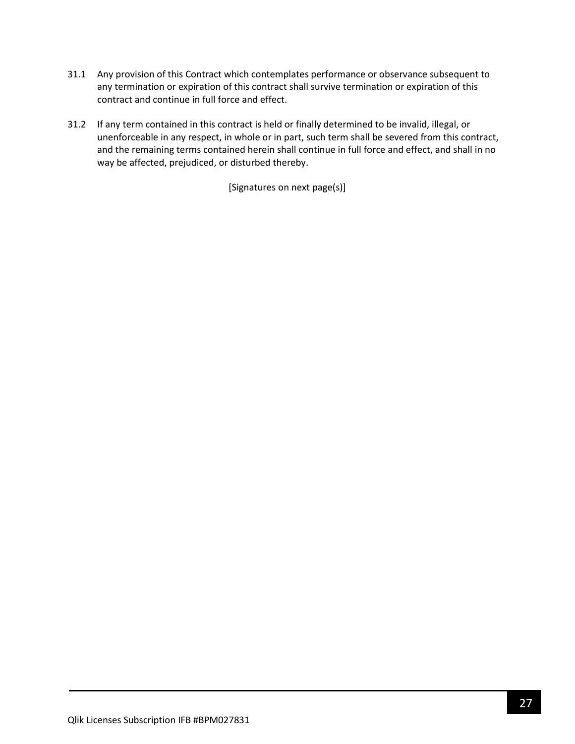- 31.1 Any provision of this Contract which contemplates performance or observance subsequent to any termination or expiration of this contract shall survive termination or expiration of this contract and continue in full force and effect.
- 31.2 If any term contained in this contract is held or finally determined to be invalid, illegal, or unenforceable in any respect, in whole or in part, such term shall be severed from this contract, and the remaining terms contained herein shall continue in full force and effect, and shall in no way be affected, prejudiced, or disturbed thereby.

[Signatures on next page(s)]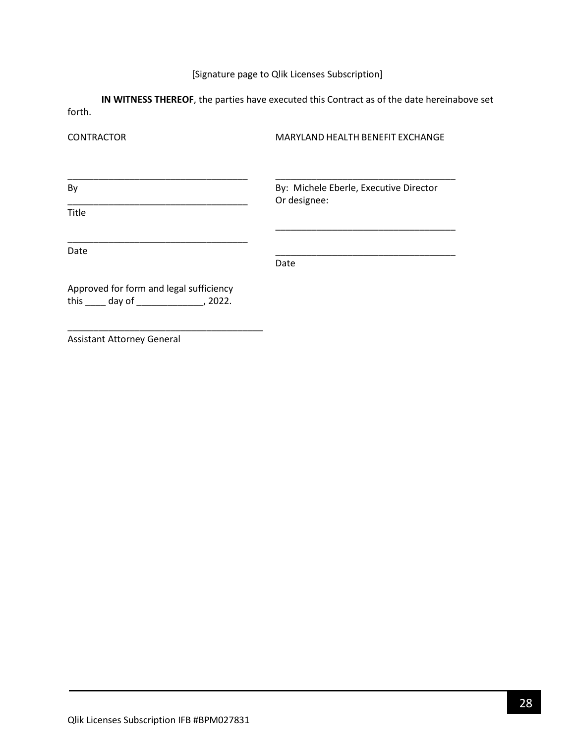# [Signature page to Qlik Licenses Subscription]

**IN WITNESS THEREOF**, the parties have executed this Contract as of the date hereinabove set forth.

| <b>CONTRACTOR</b>                                                                              | MARYLAND HEALTH BENEFIT EXCHANGE       |  |  |
|------------------------------------------------------------------------------------------------|----------------------------------------|--|--|
| By                                                                                             | By: Michele Eberle, Executive Director |  |  |
| <b>Title</b>                                                                                   | Or designee:                           |  |  |
| Date                                                                                           | Date                                   |  |  |
| Approved for form and legal sufficiency<br>this $\qquad \qquad$ day of $\qquad \qquad$ , 2022. |                                        |  |  |

Assistant Attorney General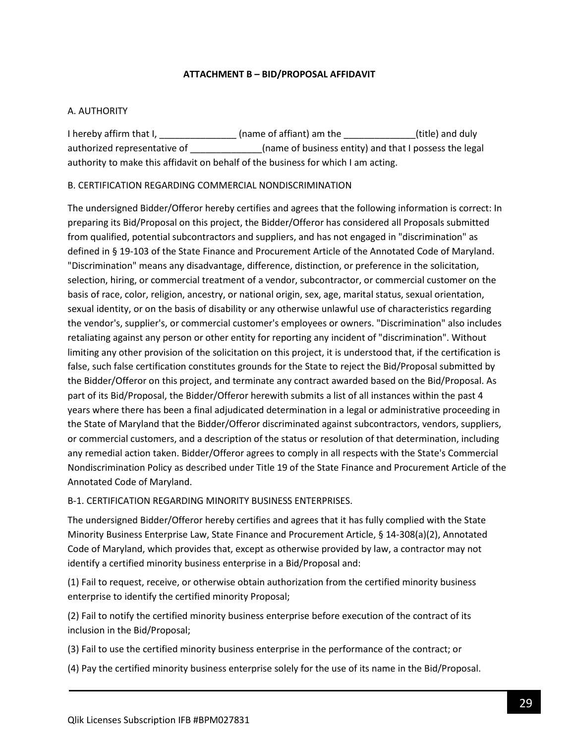### **ATTACHMENT B – BID/PROPOSAL AFFIDAVIT**

### <span id="page-28-0"></span>A. AUTHORITY

I hereby affirm that I, \_\_\_\_\_\_\_\_\_\_\_\_\_\_\_\_\_ (name of affiant) am the \_\_\_\_\_\_\_\_\_\_\_\_\_\_\_(title) and duly authorized representative of \_\_\_\_\_\_\_\_\_\_\_\_\_(name of business entity) and that I possess the legal authority to make this affidavit on behalf of the business for which I am acting.

### B. CERTIFICATION REGARDING COMMERCIAL NONDISCRIMINATION

The undersigned Bidder/Offeror hereby certifies and agrees that the following information is correct: In preparing its Bid/Proposal on this project, the Bidder/Offeror has considered all Proposals submitted from qualified, potential subcontractors and suppliers, and has not engaged in "discrimination" as defined in § 19-103 of the State Finance and Procurement Article of the Annotated Code of Maryland. "Discrimination" means any disadvantage, difference, distinction, or preference in the solicitation, selection, hiring, or commercial treatment of a vendor, subcontractor, or commercial customer on the basis of race, color, religion, ancestry, or national origin, sex, age, marital status, sexual orientation, sexual identity, or on the basis of disability or any otherwise unlawful use of characteristics regarding the vendor's, supplier's, or commercial customer's employees or owners. "Discrimination" also includes retaliating against any person or other entity for reporting any incident of "discrimination". Without limiting any other provision of the solicitation on this project, it is understood that, if the certification is false, such false certification constitutes grounds for the State to reject the Bid/Proposal submitted by the Bidder/Offeror on this project, and terminate any contract awarded based on the Bid/Proposal. As part of its Bid/Proposal, the Bidder/Offeror herewith submits a list of all instances within the past 4 years where there has been a final adjudicated determination in a legal or administrative proceeding in the State of Maryland that the Bidder/Offeror discriminated against subcontractors, vendors, suppliers, or commercial customers, and a description of the status or resolution of that determination, including any remedial action taken. Bidder/Offeror agrees to comply in all respects with the State's Commercial Nondiscrimination Policy as described under Title 19 of the State Finance and Procurement Article of the Annotated Code of Maryland.

#### B-1. CERTIFICATION REGARDING MINORITY BUSINESS ENTERPRISES.

The undersigned Bidder/Offeror hereby certifies and agrees that it has fully complied with the State Minority Business Enterprise Law, State Finance and Procurement Article, § 14-308(a)(2), Annotated Code of Maryland, which provides that, except as otherwise provided by law, a contractor may not identify a certified minority business enterprise in a Bid/Proposal and:

(1) Fail to request, receive, or otherwise obtain authorization from the certified minority business enterprise to identify the certified minority Proposal;

(2) Fail to notify the certified minority business enterprise before execution of the contract of its inclusion in the Bid/Proposal;

(3) Fail to use the certified minority business enterprise in the performance of the contract; or

(4) Pay the certified minority business enterprise solely for the use of its name in the Bid/Proposal.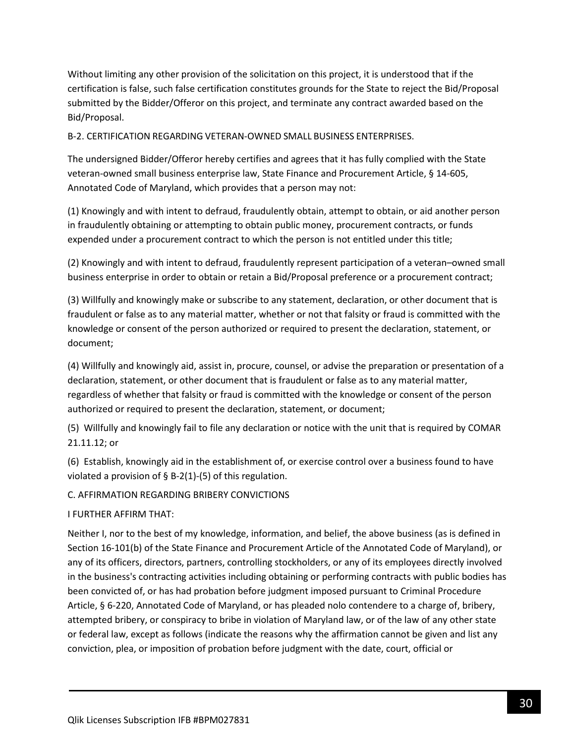Without limiting any other provision of the solicitation on this project, it is understood that if the certification is false, such false certification constitutes grounds for the State to reject the Bid/Proposal submitted by the Bidder/Offeror on this project, and terminate any contract awarded based on the Bid/Proposal.

B-2. CERTIFICATION REGARDING VETERAN-OWNED SMALL BUSINESS ENTERPRISES.

The undersigned Bidder/Offeror hereby certifies and agrees that it has fully complied with the State veteran-owned small business enterprise law, State Finance and Procurement Article, § 14-605, Annotated Code of Maryland, which provides that a person may not:

(1) Knowingly and with intent to defraud, fraudulently obtain, attempt to obtain, or aid another person in fraudulently obtaining or attempting to obtain public money, procurement contracts, or funds expended under a procurement contract to which the person is not entitled under this title;

(2) Knowingly and with intent to defraud, fraudulently represent participation of a veteran–owned small business enterprise in order to obtain or retain a Bid/Proposal preference or a procurement contract;

(3) Willfully and knowingly make or subscribe to any statement, declaration, or other document that is fraudulent or false as to any material matter, whether or not that falsity or fraud is committed with the knowledge or consent of the person authorized or required to present the declaration, statement, or document;

(4) Willfully and knowingly aid, assist in, procure, counsel, or advise the preparation or presentation of a declaration, statement, or other document that is fraudulent or false as to any material matter, regardless of whether that falsity or fraud is committed with the knowledge or consent of the person authorized or required to present the declaration, statement, or document;

(5) Willfully and knowingly fail to file any declaration or notice with the unit that is required by COMAR 21.11.12; or

(6) Establish, knowingly aid in the establishment of, or exercise control over a business found to have violated a provision of  $\S$  B-2(1)-(5) of this regulation.

### C. AFFIRMATION REGARDING BRIBERY CONVICTIONS

#### I FURTHER AFFIRM THAT:

Neither I, nor to the best of my knowledge, information, and belief, the above business (as is defined in Section 16-101(b) of the State Finance and Procurement Article of the Annotated Code of Maryland), or any of its officers, directors, partners, controlling stockholders, or any of its employees directly involved in the business's contracting activities including obtaining or performing contracts with public bodies has been convicted of, or has had probation before judgment imposed pursuant to Criminal Procedure Article, § 6-220, Annotated Code of Maryland, or has pleaded nolo contendere to a charge of, bribery, attempted bribery, or conspiracy to bribe in violation of Maryland law, or of the law of any other state or federal law, except as follows (indicate the reasons why the affirmation cannot be given and list any conviction, plea, or imposition of probation before judgment with the date, court, official or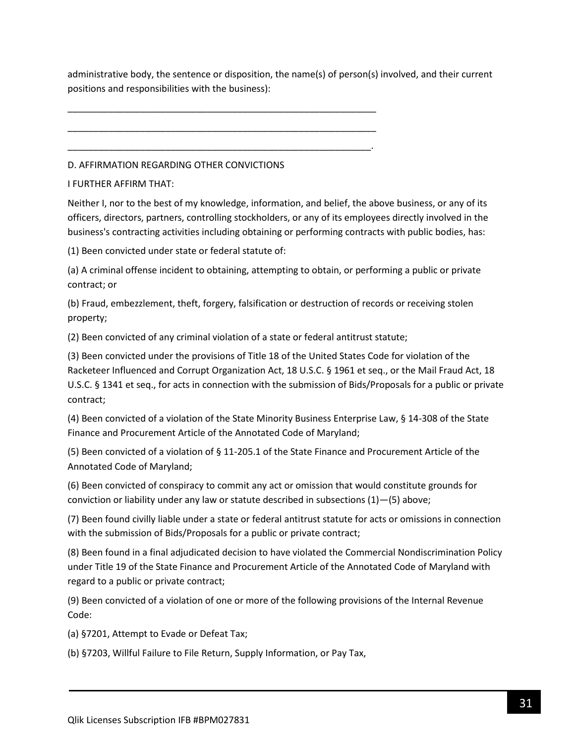administrative body, the sentence or disposition, the name(s) of person(s) involved, and their current positions and responsibilities with the business):

D. AFFIRMATION REGARDING OTHER CONVICTIONS

\_\_\_\_\_\_\_\_\_\_\_\_\_\_\_\_\_\_\_\_\_\_\_\_\_\_\_\_\_\_\_\_\_\_\_\_\_\_\_\_\_\_\_\_\_\_\_\_\_\_\_\_\_\_\_\_\_\_\_\_

\_\_\_\_\_\_\_\_\_\_\_\_\_\_\_\_\_\_\_\_\_\_\_\_\_\_\_\_\_\_\_\_\_\_\_\_\_\_\_\_\_\_\_\_\_\_\_\_\_\_\_\_\_\_\_\_\_\_\_\_

\_\_\_\_\_\_\_\_\_\_\_\_\_\_\_\_\_\_\_\_\_\_\_\_\_\_\_\_\_\_\_\_\_\_\_\_\_\_\_\_\_\_\_\_\_\_\_\_\_\_\_\_\_\_\_\_\_\_\_.

I FURTHER AFFIRM THAT:

Neither I, nor to the best of my knowledge, information, and belief, the above business, or any of its officers, directors, partners, controlling stockholders, or any of its employees directly involved in the business's contracting activities including obtaining or performing contracts with public bodies, has:

(1) Been convicted under state or federal statute of:

(a) A criminal offense incident to obtaining, attempting to obtain, or performing a public or private contract; or

(b) Fraud, embezzlement, theft, forgery, falsification or destruction of records or receiving stolen property;

(2) Been convicted of any criminal violation of a state or federal antitrust statute;

(3) Been convicted under the provisions of Title 18 of the United States Code for violation of the Racketeer Influenced and Corrupt Organization Act, 18 U.S.C. § 1961 et seq., or the Mail Fraud Act, 18 U.S.C. § 1341 et seq., for acts in connection with the submission of Bids/Proposals for a public or private contract;

(4) Been convicted of a violation of the State Minority Business Enterprise Law, § 14-308 of the State Finance and Procurement Article of the Annotated Code of Maryland;

(5) Been convicted of a violation of § 11-205.1 of the State Finance and Procurement Article of the Annotated Code of Maryland;

(6) Been convicted of conspiracy to commit any act or omission that would constitute grounds for conviction or liability under any law or statute described in subsections (1)—(5) above;

(7) Been found civilly liable under a state or federal antitrust statute for acts or omissions in connection with the submission of Bids/Proposals for a public or private contract;

(8) Been found in a final adjudicated decision to have violated the Commercial Nondiscrimination Policy under Title 19 of the State Finance and Procurement Article of the Annotated Code of Maryland with regard to a public or private contract;

(9) Been convicted of a violation of one or more of the following provisions of the Internal Revenue Code:

(a) §7201, Attempt to Evade or Defeat Tax;

(b) §7203, Willful Failure to File Return, Supply Information, or Pay Tax,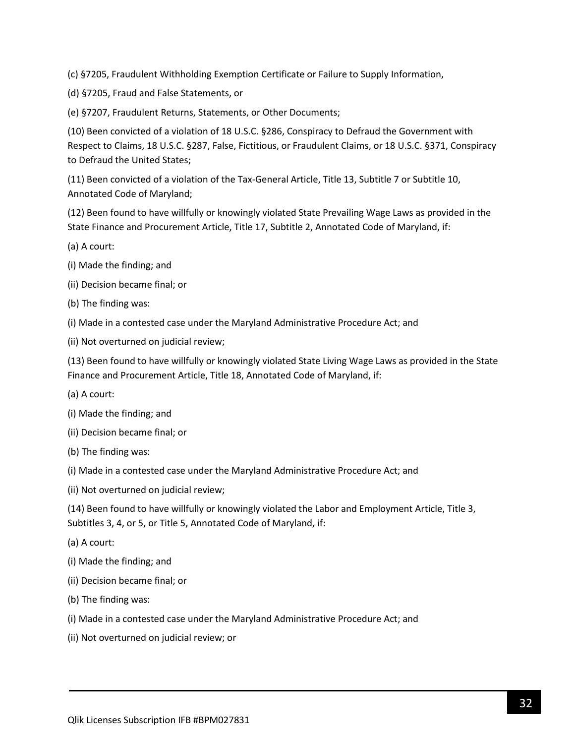(c) §7205, Fraudulent Withholding Exemption Certificate or Failure to Supply Information,

(d) §7205, Fraud and False Statements, or

(e) §7207, Fraudulent Returns, Statements, or Other Documents;

(10) Been convicted of a violation of 18 U.S.C. §286, Conspiracy to Defraud the Government with Respect to Claims, 18 U.S.C. §287, False, Fictitious, or Fraudulent Claims, or 18 U.S.C. §371, Conspiracy to Defraud the United States;

(11) Been convicted of a violation of the Tax-General Article, Title 13, Subtitle 7 or Subtitle 10, Annotated Code of Maryland;

(12) Been found to have willfully or knowingly violated State Prevailing Wage Laws as provided in the State Finance and Procurement Article, Title 17, Subtitle 2, Annotated Code of Maryland, if:

- (a) A court:
- (i) Made the finding; and
- (ii) Decision became final; or
- (b) The finding was:
- (i) Made in a contested case under the Maryland Administrative Procedure Act; and
- (ii) Not overturned on judicial review;

(13) Been found to have willfully or knowingly violated State Living Wage Laws as provided in the State Finance and Procurement Article, Title 18, Annotated Code of Maryland, if:

- (a) A court:
- (i) Made the finding; and
- (ii) Decision became final; or
- (b) The finding was:
- (i) Made in a contested case under the Maryland Administrative Procedure Act; and
- (ii) Not overturned on judicial review;

(14) Been found to have willfully or knowingly violated the Labor and Employment Article, Title 3, Subtitles 3, 4, or 5, or Title 5, Annotated Code of Maryland, if:

- (a) A court:
- (i) Made the finding; and
- (ii) Decision became final; or
- (b) The finding was:
- (i) Made in a contested case under the Maryland Administrative Procedure Act; and
- (ii) Not overturned on judicial review; or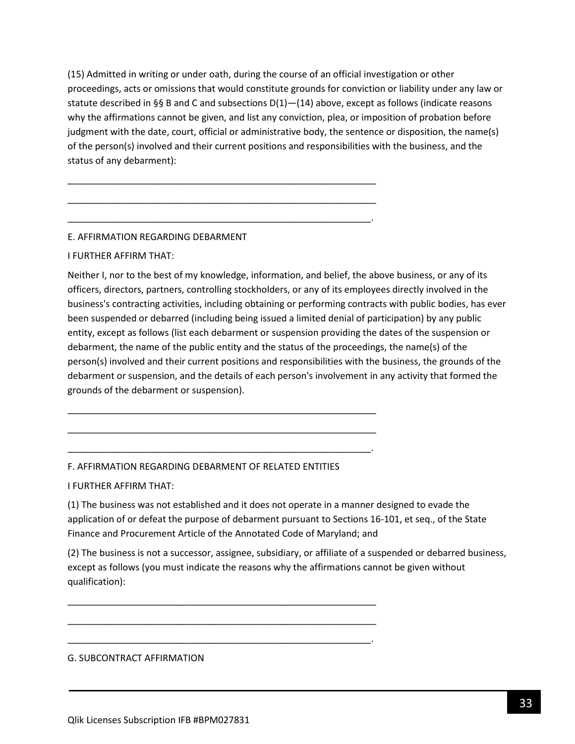(15) Admitted in writing or under oath, during the course of an official investigation or other proceedings, acts or omissions that would constitute grounds for conviction or liability under any law or statute described in §§ B and C and subsections  $D(1)$ — $(14)$  above, except as follows (indicate reasons why the affirmations cannot be given, and list any conviction, plea, or imposition of probation before judgment with the date, court, official or administrative body, the sentence or disposition, the name(s) of the person(s) involved and their current positions and responsibilities with the business, and the status of any debarment):

\_\_\_\_\_\_\_\_\_\_\_\_\_\_\_\_\_\_\_\_\_\_\_\_\_\_\_\_\_\_\_\_\_\_\_\_\_\_\_\_\_\_\_\_\_\_\_\_\_\_\_\_\_\_\_\_\_\_\_\_

\_\_\_\_\_\_\_\_\_\_\_\_\_\_\_\_\_\_\_\_\_\_\_\_\_\_\_\_\_\_\_\_\_\_\_\_\_\_\_\_\_\_\_\_\_\_\_\_\_\_\_\_\_\_\_\_\_\_\_\_

\_\_\_\_\_\_\_\_\_\_\_\_\_\_\_\_\_\_\_\_\_\_\_\_\_\_\_\_\_\_\_\_\_\_\_\_\_\_\_\_\_\_\_\_\_\_\_\_\_\_\_\_\_\_\_\_\_\_\_.

### E. AFFIRMATION REGARDING DEBARMENT

#### I FURTHER AFFIRM THAT:

Neither I, nor to the best of my knowledge, information, and belief, the above business, or any of its officers, directors, partners, controlling stockholders, or any of its employees directly involved in the business's contracting activities, including obtaining or performing contracts with public bodies, has ever been suspended or debarred (including being issued a limited denial of participation) by any public entity, except as follows (list each debarment or suspension providing the dates of the suspension or debarment, the name of the public entity and the status of the proceedings, the name(s) of the person(s) involved and their current positions and responsibilities with the business, the grounds of the debarment or suspension, and the details of each person's involvement in any activity that formed the grounds of the debarment or suspension).

#### F. AFFIRMATION REGARDING DEBARMENT OF RELATED ENTITIES

\_\_\_\_\_\_\_\_\_\_\_\_\_\_\_\_\_\_\_\_\_\_\_\_\_\_\_\_\_\_\_\_\_\_\_\_\_\_\_\_\_\_\_\_\_\_\_\_\_\_\_\_\_\_\_\_\_\_\_\_

\_\_\_\_\_\_\_\_\_\_\_\_\_\_\_\_\_\_\_\_\_\_\_\_\_\_\_\_\_\_\_\_\_\_\_\_\_\_\_\_\_\_\_\_\_\_\_\_\_\_\_\_\_\_\_\_\_\_\_\_

\_\_\_\_\_\_\_\_\_\_\_\_\_\_\_\_\_\_\_\_\_\_\_\_\_\_\_\_\_\_\_\_\_\_\_\_\_\_\_\_\_\_\_\_\_\_\_\_\_\_\_\_\_\_\_\_\_\_\_.

\_\_\_\_\_\_\_\_\_\_\_\_\_\_\_\_\_\_\_\_\_\_\_\_\_\_\_\_\_\_\_\_\_\_\_\_\_\_\_\_\_\_\_\_\_\_\_\_\_\_\_\_\_\_\_\_\_\_\_\_

\_\_\_\_\_\_\_\_\_\_\_\_\_\_\_\_\_\_\_\_\_\_\_\_\_\_\_\_\_\_\_\_\_\_\_\_\_\_\_\_\_\_\_\_\_\_\_\_\_\_\_\_\_\_\_\_\_\_\_\_

\_\_\_\_\_\_\_\_\_\_\_\_\_\_\_\_\_\_\_\_\_\_\_\_\_\_\_\_\_\_\_\_\_\_\_\_\_\_\_\_\_\_\_\_\_\_\_\_\_\_\_\_\_\_\_\_\_\_\_.

I FURTHER AFFIRM THAT:

(1) The business was not established and it does not operate in a manner designed to evade the application of or defeat the purpose of debarment pursuant to Sections 16-101, et seq., of the State Finance and Procurement Article of the Annotated Code of Maryland; and

(2) The business is not a successor, assignee, subsidiary, or affiliate of a suspended or debarred business, except as follows (you must indicate the reasons why the affirmations cannot be given without qualification):

#### G. SUBCONTRACT AFFIRMATION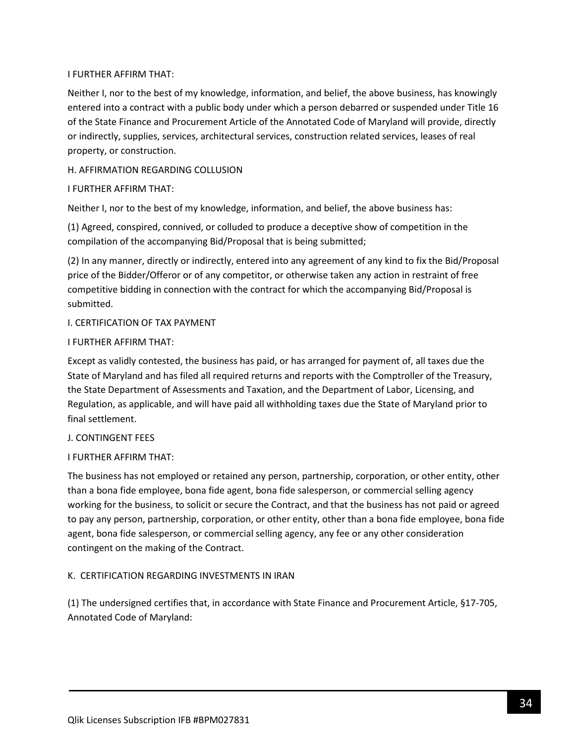### I FURTHER AFFIRM THAT:

Neither I, nor to the best of my knowledge, information, and belief, the above business, has knowingly entered into a contract with a public body under which a person debarred or suspended under Title 16 of the State Finance and Procurement Article of the Annotated Code of Maryland will provide, directly or indirectly, supplies, services, architectural services, construction related services, leases of real property, or construction.

### H. AFFIRMATION REGARDING COLLUSION

### I FURTHER AFFIRM THAT:

Neither I, nor to the best of my knowledge, information, and belief, the above business has:

(1) Agreed, conspired, connived, or colluded to produce a deceptive show of competition in the compilation of the accompanying Bid/Proposal that is being submitted;

(2) In any manner, directly or indirectly, entered into any agreement of any kind to fix the Bid/Proposal price of the Bidder/Offeror or of any competitor, or otherwise taken any action in restraint of free competitive bidding in connection with the contract for which the accompanying Bid/Proposal is submitted.

### I. CERTIFICATION OF TAX PAYMENT

#### I FURTHER AFFIRM THAT:

Except as validly contested, the business has paid, or has arranged for payment of, all taxes due the State of Maryland and has filed all required returns and reports with the Comptroller of the Treasury, the State Department of Assessments and Taxation, and the Department of Labor, Licensing, and Regulation, as applicable, and will have paid all withholding taxes due the State of Maryland prior to final settlement.

#### J. CONTINGENT FEES

### I FURTHER AFFIRM THAT:

The business has not employed or retained any person, partnership, corporation, or other entity, other than a bona fide employee, bona fide agent, bona fide salesperson, or commercial selling agency working for the business, to solicit or secure the Contract, and that the business has not paid or agreed to pay any person, partnership, corporation, or other entity, other than a bona fide employee, bona fide agent, bona fide salesperson, or commercial selling agency, any fee or any other consideration contingent on the making of the Contract.

### K. CERTIFICATION REGARDING INVESTMENTS IN IRAN

(1) The undersigned certifies that, in accordance with State Finance and Procurement Article, §17-705, Annotated Code of Maryland: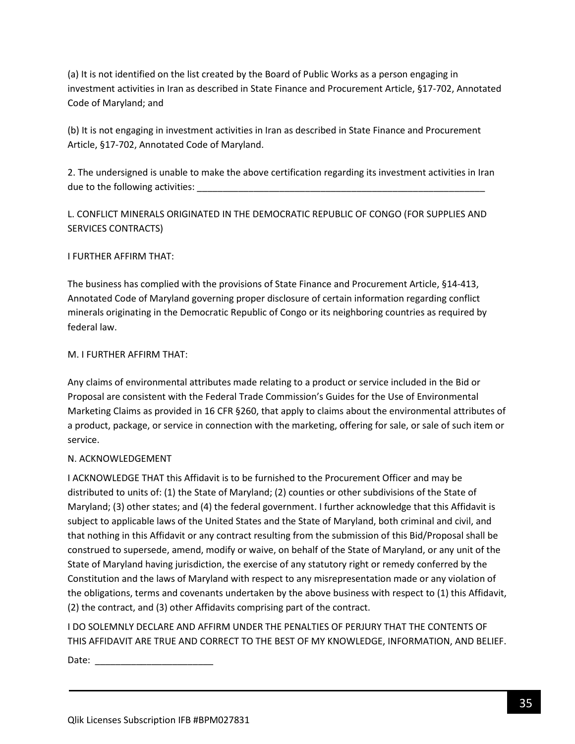(a) It is not identified on the list created by the Board of Public Works as a person engaging in investment activities in Iran as described in State Finance and Procurement Article, §17-702, Annotated Code of Maryland; and

(b) It is not engaging in investment activities in Iran as described in State Finance and Procurement Article, §17-702, Annotated Code of Maryland.

2. The undersigned is unable to make the above certification regarding its investment activities in Iran due to the following activities:

L. CONFLICT MINERALS ORIGINATED IN THE DEMOCRATIC REPUBLIC OF CONGO (FOR SUPPLIES AND SERVICES CONTRACTS)

### I FURTHER AFFIRM THAT:

The business has complied with the provisions of State Finance and Procurement Article, §14-413, Annotated Code of Maryland governing proper disclosure of certain information regarding conflict minerals originating in the Democratic Republic of Congo or its neighboring countries as required by federal law.

#### M. I FURTHER AFFIRM THAT:

Any claims of environmental attributes made relating to a product or service included in the Bid or Proposal are consistent with the Federal Trade Commission's Guides for the Use of Environmental Marketing Claims as provided in 16 CFR §260, that apply to claims about the environmental attributes of a product, package, or service in connection with the marketing, offering for sale, or sale of such item or service.

### N. ACKNOWLEDGEMENT

I ACKNOWLEDGE THAT this Affidavit is to be furnished to the Procurement Officer and may be distributed to units of: (1) the State of Maryland; (2) counties or other subdivisions of the State of Maryland; (3) other states; and (4) the federal government. I further acknowledge that this Affidavit is subject to applicable laws of the United States and the State of Maryland, both criminal and civil, and that nothing in this Affidavit or any contract resulting from the submission of this Bid/Proposal shall be construed to supersede, amend, modify or waive, on behalf of the State of Maryland, or any unit of the State of Maryland having jurisdiction, the exercise of any statutory right or remedy conferred by the Constitution and the laws of Maryland with respect to any misrepresentation made or any violation of the obligations, terms and covenants undertaken by the above business with respect to (1) this Affidavit, (2) the contract, and (3) other Affidavits comprising part of the contract.

I DO SOLEMNLY DECLARE AND AFFIRM UNDER THE PENALTIES OF PERJURY THAT THE CONTENTS OF THIS AFFIDAVIT ARE TRUE AND CORRECT TO THE BEST OF MY KNOWLEDGE, INFORMATION, AND BELIEF.

Date:  $\_\_$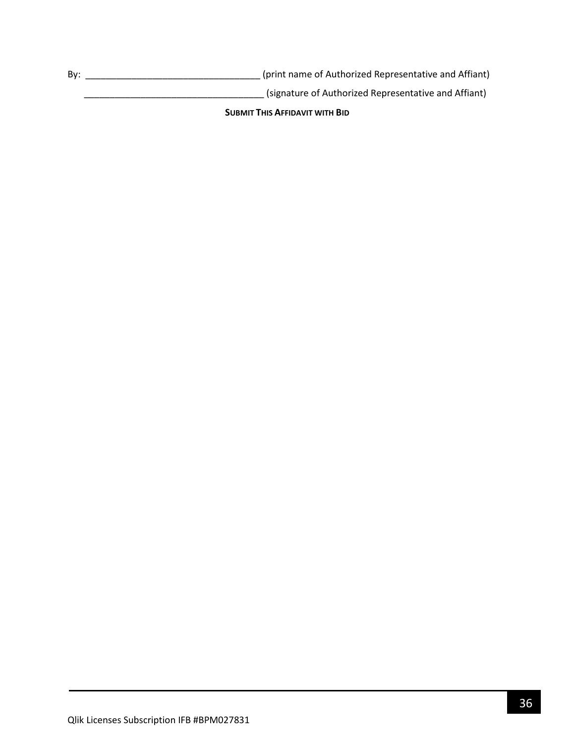By: \_\_\_\_\_\_\_\_\_\_\_\_\_\_\_\_\_\_\_\_\_\_\_\_\_\_\_\_\_\_\_\_\_\_ (print name of Authorized Representative and Affiant)

\_\_\_\_\_\_\_\_\_\_\_\_\_\_\_\_\_\_\_\_\_\_\_\_\_\_\_\_\_\_\_\_\_\_\_ (signature of Authorized Representative and Affiant)

**SUBMIT THIS AFFIDAVIT WITH BID**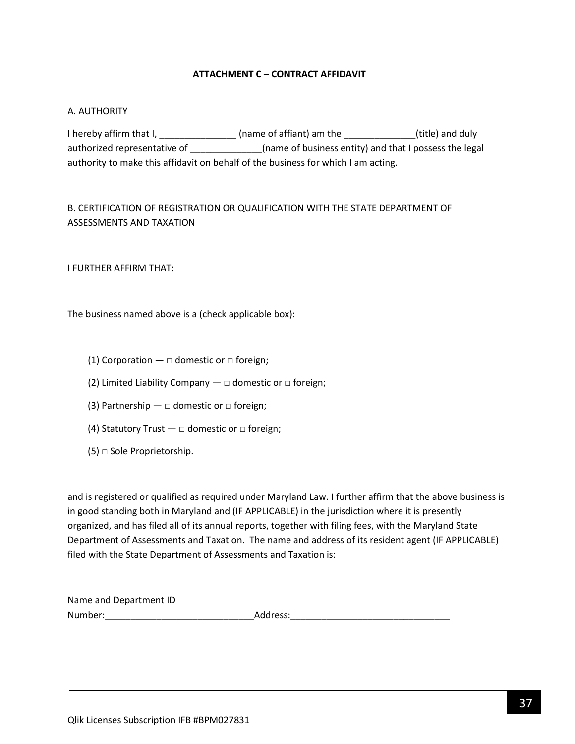### **ATTACHMENT C – CONTRACT AFFIDAVIT**

#### <span id="page-36-0"></span>A. AUTHORITY

I hereby affirm that I, \_\_\_\_\_\_\_\_\_\_\_\_\_\_\_\_\_ (name of affiant) am the \_\_\_\_\_\_\_\_\_\_\_\_\_\_(title) and duly authorized representative of \_\_\_\_\_\_\_\_\_\_\_\_\_\_\_\_(name of business entity) and that I possess the legal authority to make this affidavit on behalf of the business for which I am acting.

# B. CERTIFICATION OF REGISTRATION OR QUALIFICATION WITH THE STATE DEPARTMENT OF ASSESSMENTS AND TAXATION

I FURTHER AFFIRM THAT:

The business named above is a (check applicable box):

- (1) Corporation  $\Box$  domestic or  $\Box$  foreign;
- (2) Limited Liability Company  $-\Box$  domestic or  $\Box$  foreign;
- (3) Partnership  $\Box$  domestic or  $\Box$  foreign;
- (4) Statutory Trust  $\Box$  domestic or  $\Box$  foreign;
- $(5)$   $\Box$  Sole Proprietorship.

and is registered or qualified as required under Maryland Law. I further affirm that the above business is in good standing both in Maryland and (IF APPLICABLE) in the jurisdiction where it is presently organized, and has filed all of its annual reports, together with filing fees, with the Maryland State Department of Assessments and Taxation. The name and address of its resident agent (IF APPLICABLE) filed with the State Department of Assessments and Taxation is:

| Name and Department ID |          |
|------------------------|----------|
| Number:                | Address: |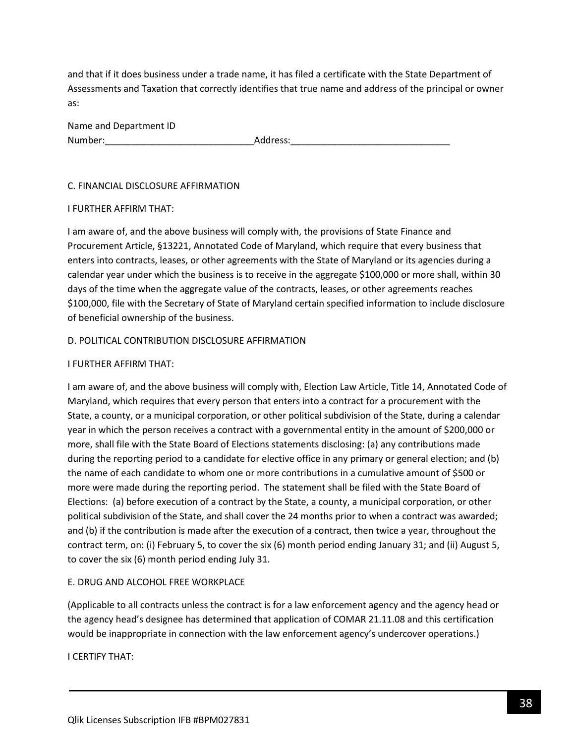and that if it does business under a trade name, it has filed a certificate with the State Department of Assessments and Taxation that correctly identifies that true name and address of the principal or owner as:

| Name and Department ID |          |
|------------------------|----------|
| Number:                | Address: |

#### C. FINANCIAL DISCLOSURE AFFIRMATION

#### I FURTHER AFFIRM THAT:

I am aware of, and the above business will comply with, the provisions of State Finance and Procurement Article, §13221, Annotated Code of Maryland, which require that every business that enters into contracts, leases, or other agreements with the State of Maryland or its agencies during a calendar year under which the business is to receive in the aggregate \$100,000 or more shall, within 30 days of the time when the aggregate value of the contracts, leases, or other agreements reaches \$100,000, file with the Secretary of State of Maryland certain specified information to include disclosure of beneficial ownership of the business.

### D. POLITICAL CONTRIBUTION DISCLOSURE AFFIRMATION

### I FURTHER AFFIRM THAT:

I am aware of, and the above business will comply with, Election Law Article, Title 14, Annotated Code of Maryland, which requires that every person that enters into a contract for a procurement with the State, a county, or a municipal corporation, or other political subdivision of the State, during a calendar year in which the person receives a contract with a governmental entity in the amount of \$200,000 or more, shall file with the State Board of Elections statements disclosing: (a) any contributions made during the reporting period to a candidate for elective office in any primary or general election; and (b) the name of each candidate to whom one or more contributions in a cumulative amount of \$500 or more were made during the reporting period. The statement shall be filed with the State Board of Elections: (a) before execution of a contract by the State, a county, a municipal corporation, or other political subdivision of the State, and shall cover the 24 months prior to when a contract was awarded; and (b) if the contribution is made after the execution of a contract, then twice a year, throughout the contract term, on: (i) February 5, to cover the six (6) month period ending January 31; and (ii) August 5, to cover the six (6) month period ending July 31.

### E. DRUG AND ALCOHOL FREE WORKPLACE

(Applicable to all contracts unless the contract is for a law enforcement agency and the agency head or the agency head's designee has determined that application of COMAR 21.11.08 and this certification would be inappropriate in connection with the law enforcement agency's undercover operations.)

I CERTIFY THAT: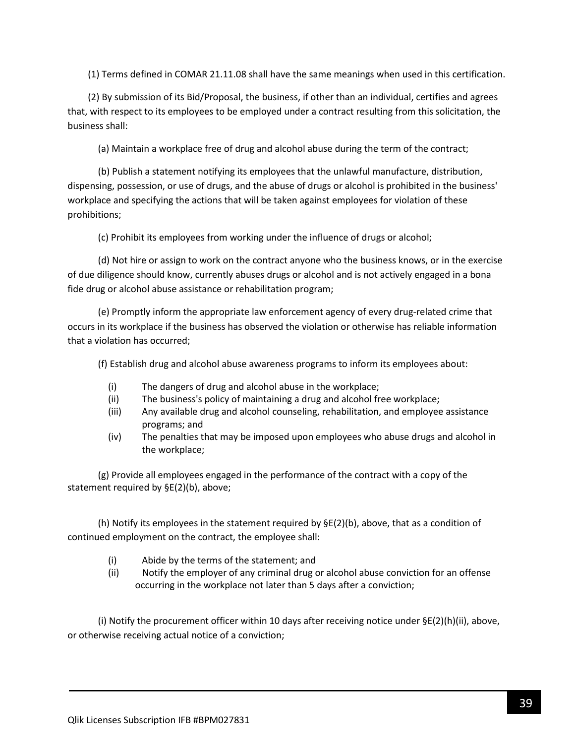(1) Terms defined in COMAR 21.11.08 shall have the same meanings when used in this certification.

(2) By submission of its Bid/Proposal, the business, if other than an individual, certifies and agrees that, with respect to its employees to be employed under a contract resulting from this solicitation, the business shall:

(a) Maintain a workplace free of drug and alcohol abuse during the term of the contract;

(b) Publish a statement notifying its employees that the unlawful manufacture, distribution, dispensing, possession, or use of drugs, and the abuse of drugs or alcohol is prohibited in the business' workplace and specifying the actions that will be taken against employees for violation of these prohibitions;

(c) Prohibit its employees from working under the influence of drugs or alcohol;

(d) Not hire or assign to work on the contract anyone who the business knows, or in the exercise of due diligence should know, currently abuses drugs or alcohol and is not actively engaged in a bona fide drug or alcohol abuse assistance or rehabilitation program;

(e) Promptly inform the appropriate law enforcement agency of every drug-related crime that occurs in its workplace if the business has observed the violation or otherwise has reliable information that a violation has occurred;

(f) Establish drug and alcohol abuse awareness programs to inform its employees about:

- (i) The dangers of drug and alcohol abuse in the workplace;
- (ii) The business's policy of maintaining a drug and alcohol free workplace;
- (iii) Any available drug and alcohol counseling, rehabilitation, and employee assistance programs; and
- (iv) The penalties that may be imposed upon employees who abuse drugs and alcohol in the workplace;

(g) Provide all employees engaged in the performance of the contract with a copy of the statement required by §E(2)(b), above;

(h) Notify its employees in the statement required by  $\Sigma(2)(b)$ , above, that as a condition of continued employment on the contract, the employee shall:

- (i) Abide by the terms of the statement; and
- (ii) Notify the employer of any criminal drug or alcohol abuse conviction for an offense occurring in the workplace not later than 5 days after a conviction;

(i) Notify the procurement officer within 10 days after receiving notice under  $\Sigma(2)(h)(ii)$ , above, or otherwise receiving actual notice of a conviction;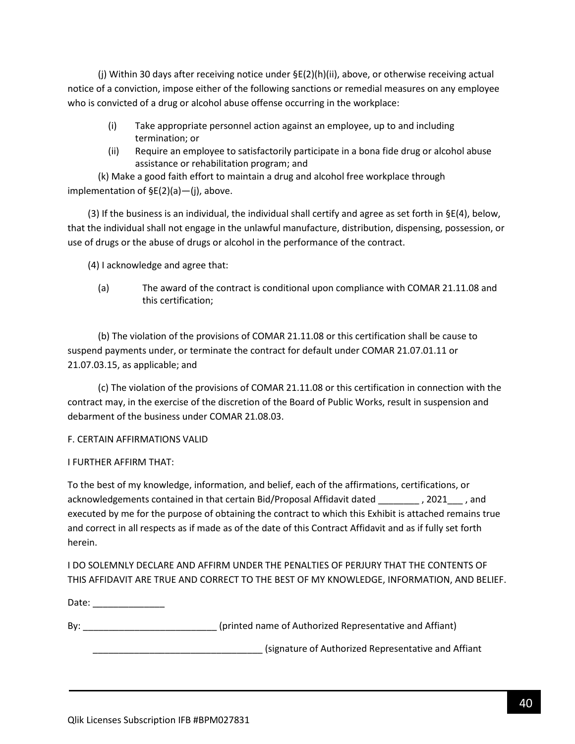(j) Within 30 days after receiving notice under §E(2)(h)(ii), above, or otherwise receiving actual notice of a conviction, impose either of the following sanctions or remedial measures on any employee who is convicted of a drug or alcohol abuse offense occurring in the workplace:

- (i) Take appropriate personnel action against an employee, up to and including termination; or
- (ii) Require an employee to satisfactorily participate in a bona fide drug or alcohol abuse assistance or rehabilitation program; and

(k) Make a good faith effort to maintain a drug and alcohol free workplace through implementation of §E(2)(a)—(j), above.

(3) If the business is an individual, the individual shall certify and agree as set forth in  $\S E(4)$ , below, that the individual shall not engage in the unlawful manufacture, distribution, dispensing, possession, or use of drugs or the abuse of drugs or alcohol in the performance of the contract.

(4) I acknowledge and agree that:

(a) The award of the contract is conditional upon compliance with COMAR 21.11.08 and this certification;

(b) The violation of the provisions of COMAR 21.11.08 or this certification shall be cause to suspend payments under, or terminate the contract for default under COMAR 21.07.01.11 or 21.07.03.15, as applicable; and

(c) The violation of the provisions of COMAR 21.11.08 or this certification in connection with the contract may, in the exercise of the discretion of the Board of Public Works, result in suspension and debarment of the business under COMAR 21.08.03.

### F. CERTAIN AFFIRMATIONS VALID

### I FURTHER AFFIRM THAT:

To the best of my knowledge, information, and belief, each of the affirmations, certifications, or acknowledgements contained in that certain Bid/Proposal Affidavit dated \_\_\_\_\_\_\_\_ , 2021\_\_\_ , and executed by me for the purpose of obtaining the contract to which this Exhibit is attached remains true and correct in all respects as if made as of the date of this Contract Affidavit and as if fully set forth herein.

I DO SOLEMNLY DECLARE AND AFFIRM UNDER THE PENALTIES OF PERJURY THAT THE CONTENTS OF THIS AFFIDAVIT ARE TRUE AND CORRECT TO THE BEST OF MY KNOWLEDGE, INFORMATION, AND BELIEF.

Date: \_\_\_\_\_\_\_\_\_\_\_\_\_\_\_

By: example and the state of authorized Representative and Affiant) and Affiant and Affiant and Affiant and Affiant and Affiant and Affiant and Affiant and Affiant and Affiant and Affiant and Affiant and Affiant and Affian

\_\_\_\_\_\_\_\_\_\_\_\_\_\_\_\_\_\_\_\_\_\_\_\_\_\_\_\_\_\_\_\_\_ (signature of Authorized Representative and Affiant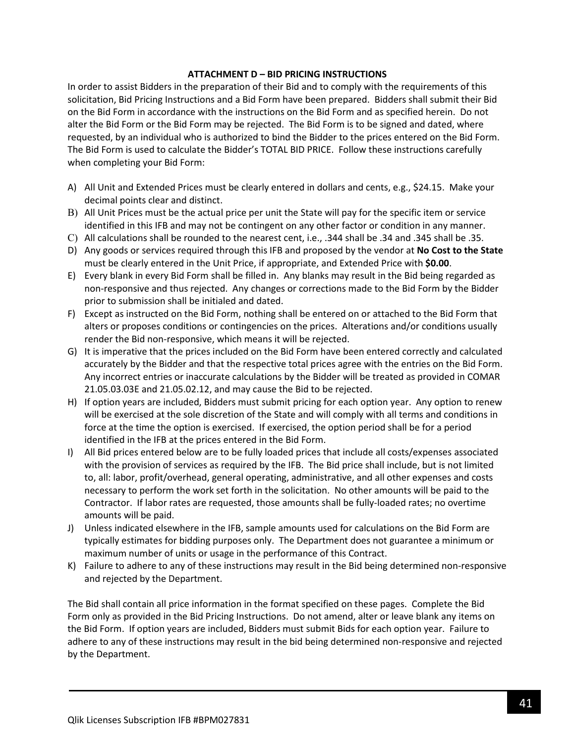### **ATTACHMENT D – BID PRICING INSTRUCTIONS**

In order to assist Bidders in the preparation of their Bid and to comply with the requirements of this solicitation, Bid Pricing Instructions and a Bid Form have been prepared. Bidders shall submit their Bid on the Bid Form in accordance with the instructions on the Bid Form and as specified herein. Do not alter the Bid Form or the Bid Form may be rejected. The Bid Form is to be signed and dated, where requested, by an individual who is authorized to bind the Bidder to the prices entered on the Bid Form. The Bid Form is used to calculate the Bidder's TOTAL BID PRICE. Follow these instructions carefully when completing your Bid Form:

- A) All Unit and Extended Prices must be clearly entered in dollars and cents, e.g., \$24.15. Make your decimal points clear and distinct.
- B) All Unit Prices must be the actual price per unit the State will pay for the specific item or service identified in this IFB and may not be contingent on any other factor or condition in any manner.
- C) All calculations shall be rounded to the nearest cent, i.e., .344 shall be .34 and .345 shall be .35.
- D) Any goods or services required through this IFB and proposed by the vendor at **No Cost to the State** must be clearly entered in the Unit Price, if appropriate, and Extended Price with **\$0.00**.
- E) Every blank in every Bid Form shall be filled in. Any blanks may result in the Bid being regarded as non-responsive and thus rejected. Any changes or corrections made to the Bid Form by the Bidder prior to submission shall be initialed and dated.
- F) Except as instructed on the Bid Form, nothing shall be entered on or attached to the Bid Form that alters or proposes conditions or contingencies on the prices. Alterations and/or conditions usually render the Bid non-responsive, which means it will be rejected.
- G) It is imperative that the prices included on the Bid Form have been entered correctly and calculated accurately by the Bidder and that the respective total prices agree with the entries on the Bid Form. Any incorrect entries or inaccurate calculations by the Bidder will be treated as provided in COMAR 21.05.03.03E and 21.05.02.12, and may cause the Bid to be rejected.
- H) If option years are included, Bidders must submit pricing for each option year. Any option to renew will be exercised at the sole discretion of the State and will comply with all terms and conditions in force at the time the option is exercised. If exercised, the option period shall be for a period identified in the IFB at the prices entered in the Bid Form.
- I) All Bid prices entered below are to be fully loaded prices that include all costs/expenses associated with the provision of services as required by the IFB. The Bid price shall include, but is not limited to, all: labor, profit/overhead, general operating, administrative, and all other expenses and costs necessary to perform the work set forth in the solicitation. No other amounts will be paid to the Contractor. If labor rates are requested, those amounts shall be fully-loaded rates; no overtime amounts will be paid.
- J) Unless indicated elsewhere in the IFB, sample amounts used for calculations on the Bid Form are typically estimates for bidding purposes only. The Department does not guarantee a minimum or maximum number of units or usage in the performance of this Contract.
- K) Failure to adhere to any of these instructions may result in the Bid being determined non-responsive and rejected by the Department.

The Bid shall contain all price information in the format specified on these pages. Complete the Bid Form only as provided in the Bid Pricing Instructions. Do not amend, alter or leave blank any items on the Bid Form. If option years are included, Bidders must submit Bids for each option year. Failure to adhere to any of these instructions may result in the bid being determined non-responsive and rejected by the Department.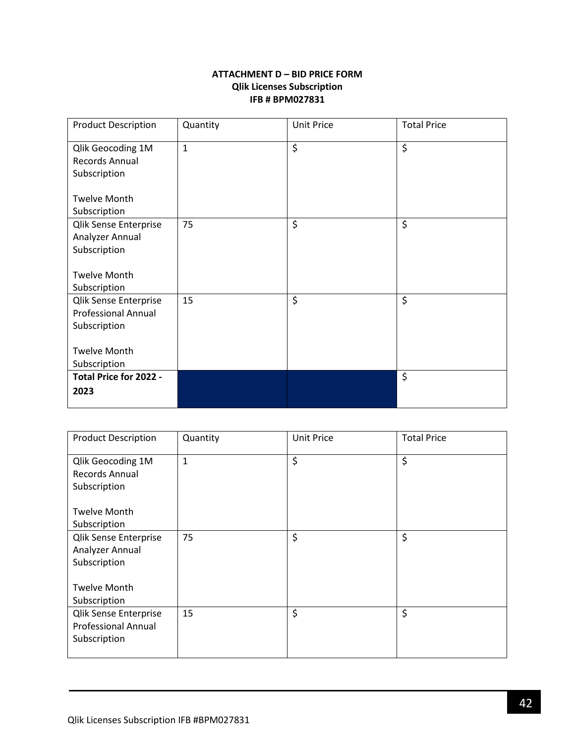### **ATTACHMENT D – BID PRICE FORM Qlik Licenses Subscription IFB # BPM027831**

<span id="page-41-0"></span>

| <b>Product Description</b> | Quantity     | <b>Unit Price</b>  | <b>Total Price</b> |
|----------------------------|--------------|--------------------|--------------------|
| Qlik Geocoding 1M          | $\mathbf{1}$ | \$                 | \$                 |
| Records Annual             |              |                    |                    |
| Subscription               |              |                    |                    |
|                            |              |                    |                    |
| <b>Twelve Month</b>        |              |                    |                    |
| Subscription               |              |                    |                    |
| Qlik Sense Enterprise      | 75           | \$                 | \$                 |
| Analyzer Annual            |              |                    |                    |
| Subscription               |              |                    |                    |
|                            |              |                    |                    |
| <b>Twelve Month</b>        |              |                    |                    |
| Subscription               |              |                    |                    |
| Qlik Sense Enterprise      | 15           | $\ddot{\varsigma}$ | \$                 |
| <b>Professional Annual</b> |              |                    |                    |
| Subscription               |              |                    |                    |
| <b>Twelve Month</b>        |              |                    |                    |
| Subscription               |              |                    |                    |
| Total Price for 2022 -     |              |                    | \$                 |
| 2023                       |              |                    |                    |
|                            |              |                    |                    |

| <b>Product Description</b>                                                 | Quantity    | <b>Unit Price</b> | <b>Total Price</b> |
|----------------------------------------------------------------------------|-------------|-------------------|--------------------|
| Qlik Geocoding 1M<br>Records Annual<br>Subscription                        | $\mathbf 1$ | \$                | \$                 |
| <b>Twelve Month</b><br>Subscription                                        |             |                   |                    |
| <b>Qlik Sense Enterprise</b><br>Analyzer Annual<br>Subscription            | 75          | \$                | \$                 |
| <b>Twelve Month</b><br>Subscription                                        |             |                   |                    |
| <b>Qlik Sense Enterprise</b><br><b>Professional Annual</b><br>Subscription | 15          | \$                | \$                 |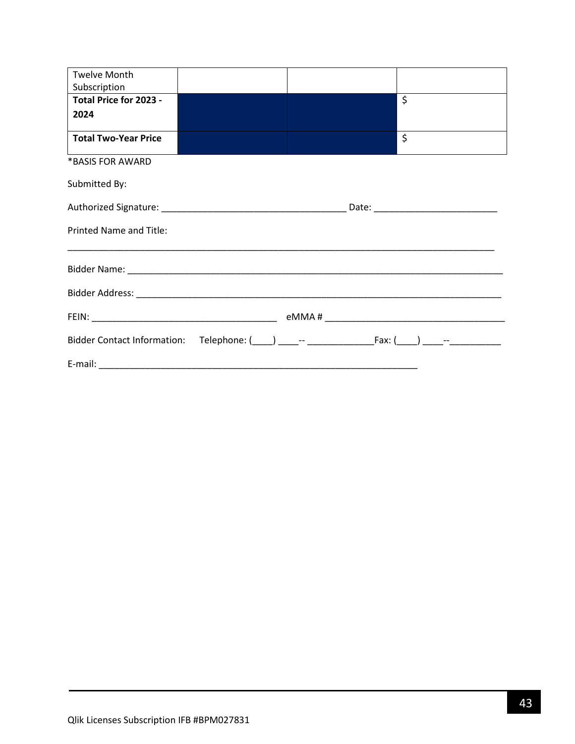| <b>Twelve Month</b>            |  |                  |  |
|--------------------------------|--|------------------|--|
| Subscription                   |  |                  |  |
| Total Price for 2023 -         |  | $\overline{\xi}$ |  |
| 2024                           |  |                  |  |
|                                |  |                  |  |
| <b>Total Two-Year Price</b>    |  | \$               |  |
| *BASIS FOR AWARD               |  |                  |  |
| Submitted By:                  |  |                  |  |
|                                |  |                  |  |
| <b>Printed Name and Title:</b> |  |                  |  |
|                                |  |                  |  |
|                                |  |                  |  |
|                                |  |                  |  |
|                                |  |                  |  |
|                                |  |                  |  |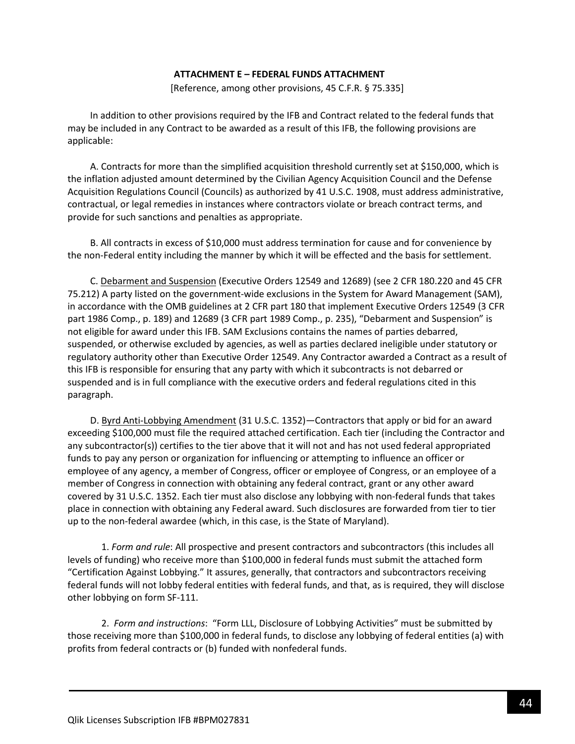#### **ATTACHMENT E – FEDERAL FUNDS ATTACHMENT**

[Reference, among other provisions, 45 C.F.R. § 75.335]

<span id="page-43-0"></span>In addition to other provisions required by the IFB and Contract related to the federal funds that may be included in any Contract to be awarded as a result of this IFB, the following provisions are applicable:

A. Contracts for more than the simplified acquisition threshold currently set at \$150,000, which is the inflation adjusted amount determined by the Civilian Agency Acquisition Council and the Defense Acquisition Regulations Council (Councils) as authorized by 41 U.S.C. 1908, must address administrative, contractual, or legal remedies in instances where contractors violate or breach contract terms, and provide for such sanctions and penalties as appropriate.

B. All contracts in excess of \$10,000 must address termination for cause and for convenience by the non-Federal entity including the manner by which it will be effected and the basis for settlement.

C. Debarment and Suspension (Executive Orders 12549 and 12689) (see 2 CFR 180.220 and 45 CFR 75.212) A party listed on the government-wide exclusions in the System for Award Management (SAM), in accordance with the OMB guidelines at 2 CFR part 180 that implement Executive Orders 12549 (3 CFR part 1986 Comp., p. 189) and 12689 (3 CFR part 1989 Comp., p. 235), "Debarment and Suspension" is not eligible for award under this IFB. SAM Exclusions contains the names of parties debarred, suspended, or otherwise excluded by agencies, as well as parties declared ineligible under statutory or regulatory authority other than Executive Order 12549. Any Contractor awarded a Contract as a result of this IFB is responsible for ensuring that any party with which it subcontracts is not debarred or suspended and is in full compliance with the executive orders and federal regulations cited in this paragraph.

D. Byrd Anti-Lobbying Amendment (31 U.S.C. 1352)—Contractors that apply or bid for an award exceeding \$100,000 must file the required attached certification. Each tier (including the Contractor and any subcontractor(s)) certifies to the tier above that it will not and has not used federal appropriated funds to pay any person or organization for influencing or attempting to influence an officer or employee of any agency, a member of Congress, officer or employee of Congress, or an employee of a member of Congress in connection with obtaining any federal contract, grant or any other award covered by 31 U.S.C. 1352. Each tier must also disclose any lobbying with non-federal funds that takes place in connection with obtaining any Federal award. Such disclosures are forwarded from tier to tier up to the non-federal awardee (which, in this case, is the State of Maryland).

1. *Form and rule*: All prospective and present contractors and subcontractors (this includes all levels of funding) who receive more than \$100,000 in federal funds must submit the attached form "Certification Against Lobbying." It assures, generally, that contractors and subcontractors receiving federal funds will not lobby federal entities with federal funds, and that, as is required, they will disclose other lobbying on form SF-111.

2. *Form and instructions*: "Form LLL, Disclosure of Lobbying Activities" must be submitted by those receiving more than \$100,000 in federal funds, to disclose any lobbying of federal entities (a) with profits from federal contracts or (b) funded with nonfederal funds.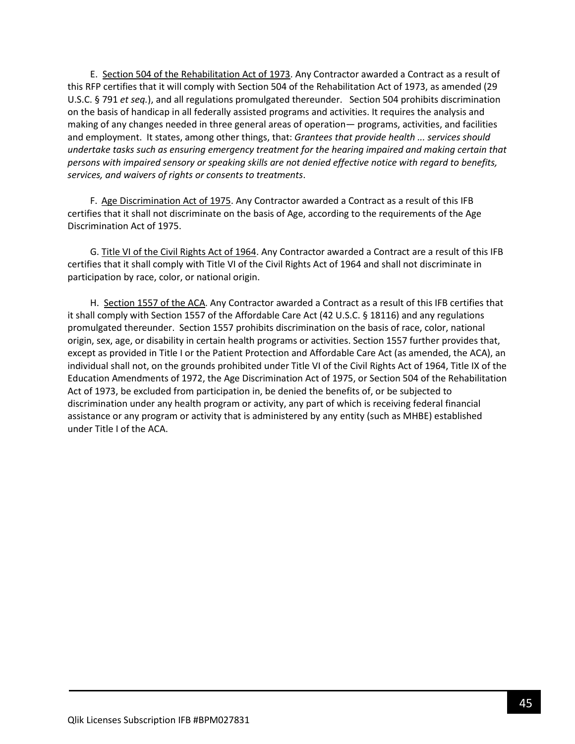E. Section 504 of the Rehabilitation Act of 1973. Any Contractor awarded a Contract as a result of this RFP certifies that it will comply with Section 504 of the Rehabilitation Act of 1973, as amended (29 U.S.C. § 791 *et seq.*), and all regulations promulgated thereunder. Section 504 prohibits discrimination on the basis of handicap in all federally assisted programs and activities. It requires the analysis and making of any changes needed in three general areas of operation— programs, activities, and facilities and employment. It states, among other things, that: *Grantees that provide health ... services should undertake tasks such as ensuring emergency treatment for the hearing impaired and making certain that persons with impaired sensory or speaking skills are not denied effective notice with regard to benefits, services, and waivers of rights or consents to treatments*.

F. Age Discrimination Act of 1975. Any Contractor awarded a Contract as a result of this IFB certifies that it shall not discriminate on the basis of Age, according to the requirements of the Age Discrimination Act of 1975.

G. Title VI of the Civil Rights Act of 1964. Any Contractor awarded a Contract are a result of this IFB certifies that it shall comply with Title VI of the Civil Rights Act of 1964 and shall not discriminate in participation by race, color, or national origin.

H. Section 1557 of the ACA. Any Contractor awarded a Contract as a result of this IFB certifies that it shall comply with Section 1557 of the Affordable Care Act (42 U.S.C. § 18116) and any regulations promulgated thereunder. Section 1557 prohibits discrimination on the basis of race, color, national origin, sex, age, or disability in certain health programs or activities. Section 1557 further provides that, except as provided in Title I or the Patient Protection and Affordable Care Act (as amended, the ACA), an individual shall not, on the grounds prohibited under Title VI of the Civil Rights Act of 1964, Title IX of the Education Amendments of 1972, the Age Discrimination Act of 1975, or Section 504 of the Rehabilitation Act of 1973, be excluded from participation in, be denied the benefits of, or be subjected to discrimination under any health program or activity, any part of which is receiving federal financial assistance or any program or activity that is administered by any entity (such as MHBE) established under Title I of the ACA.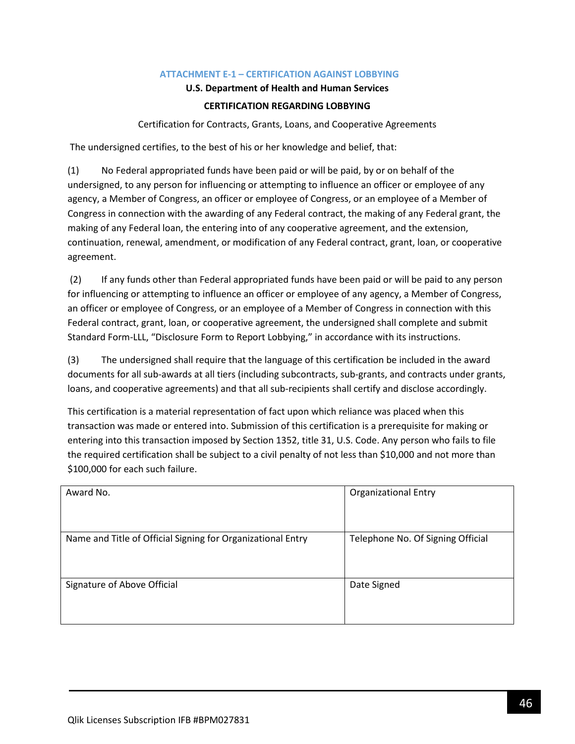### **ATTACHMENT E-1 – CERTIFICATION AGAINST LOBBYING**

### **U.S. Department of Health and Human Services**

### **CERTIFICATION REGARDING LOBBYING**

Certification for Contracts, Grants, Loans, and Cooperative Agreements

<span id="page-45-0"></span>The undersigned certifies, to the best of his or her knowledge and belief, that:

(1) No Federal appropriated funds have been paid or will be paid, by or on behalf of the undersigned, to any person for influencing or attempting to influence an officer or employee of any agency, a Member of Congress, an officer or employee of Congress, or an employee of a Member of Congress in connection with the awarding of any Federal contract, the making of any Federal grant, the making of any Federal loan, the entering into of any cooperative agreement, and the extension, continuation, renewal, amendment, or modification of any Federal contract, grant, loan, or cooperative agreement.

(2) If any funds other than Federal appropriated funds have been paid or will be paid to any person for influencing or attempting to influence an officer or employee of any agency, a Member of Congress, an officer or employee of Congress, or an employee of a Member of Congress in connection with this Federal contract, grant, loan, or cooperative agreement, the undersigned shall complete and submit Standard Form-LLL, "Disclosure Form to Report Lobbying," in accordance with its instructions.

(3) The undersigned shall require that the language of this certification be included in the award documents for all sub-awards at all tiers (including subcontracts, sub-grants, and contracts under grants, loans, and cooperative agreements) and that all sub-recipients shall certify and disclose accordingly.

This certification is a material representation of fact upon which reliance was placed when this transaction was made or entered into. Submission of this certification is a prerequisite for making or entering into this transaction imposed by Section 1352, title 31, U.S. Code. Any person who fails to file the required certification shall be subject to a civil penalty of not less than \$10,000 and not more than \$100,000 for each such failure.

| Award No.                                                   | <b>Organizational Entry</b>       |
|-------------------------------------------------------------|-----------------------------------|
| Name and Title of Official Signing for Organizational Entry | Telephone No. Of Signing Official |
| Signature of Above Official                                 | Date Signed                       |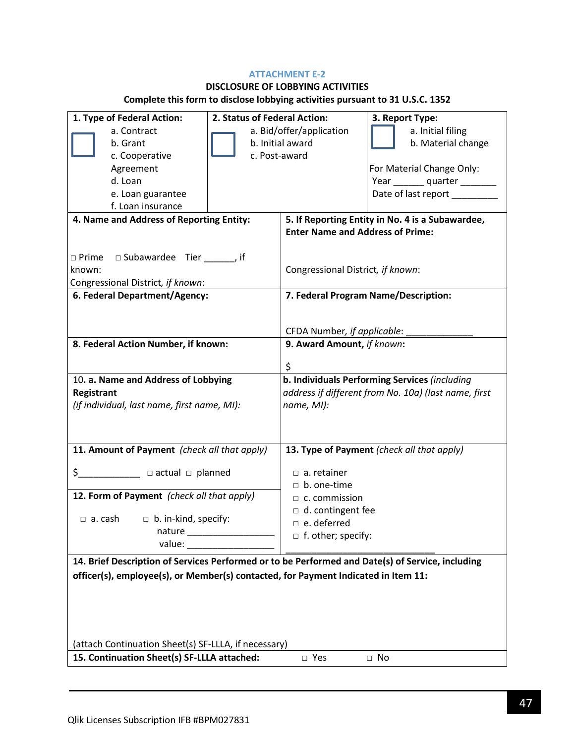### **ATTACHMENT E-2**

# **DISCLOSURE OF LOBBYING ACTIVITIES**

# **Complete this form to disclose lobbying activities pursuant to 31 U.S.C. 1352**

| 1. Type of Federal Action:                                                                       | 2. Status of Federal Action: |                                                      | 3. Report Type:                                  |  |
|--------------------------------------------------------------------------------------------------|------------------------------|------------------------------------------------------|--------------------------------------------------|--|
| a. Contract                                                                                      | a. Bid/offer/application     |                                                      | a. Initial filing                                |  |
| b. Grant                                                                                         | b. Initial award             |                                                      | b. Material change                               |  |
| c. Cooperative                                                                                   | c. Post-award                |                                                      |                                                  |  |
| Agreement                                                                                        |                              |                                                      | For Material Change Only:                        |  |
| d. Loan                                                                                          |                              |                                                      | Year ________ quarter ________                   |  |
| e. Loan guarantee                                                                                |                              |                                                      | Date of last report ________                     |  |
| f. Loan insurance                                                                                |                              |                                                      |                                                  |  |
| 4. Name and Address of Reporting Entity:                                                         |                              |                                                      | 5. If Reporting Entity in No. 4 is a Subawardee, |  |
|                                                                                                  |                              | <b>Enter Name and Address of Prime:</b>              |                                                  |  |
|                                                                                                  |                              |                                                      |                                                  |  |
| $\Box$ Prime $\Box$ Subawardee Tier _______, if                                                  |                              |                                                      |                                                  |  |
| known:                                                                                           |                              | Congressional District, if known:                    |                                                  |  |
| Congressional District, if known:<br>6. Federal Department/Agency:                               |                              |                                                      | 7. Federal Program Name/Description:             |  |
|                                                                                                  |                              |                                                      |                                                  |  |
|                                                                                                  |                              |                                                      |                                                  |  |
|                                                                                                  |                              | CFDA Number, if applicable:                          |                                                  |  |
| 8. Federal Action Number, if known:                                                              |                              | 9. Award Amount, if known:                           |                                                  |  |
|                                                                                                  |                              |                                                      |                                                  |  |
|                                                                                                  |                              | \$                                                   |                                                  |  |
| 10. a. Name and Address of Lobbying                                                              |                              | b. Individuals Performing Services (including        |                                                  |  |
| Registrant                                                                                       |                              | address if different from No. 10a) (last name, first |                                                  |  |
| (if individual, last name, first name, MI):                                                      |                              | name, MI):                                           |                                                  |  |
|                                                                                                  |                              |                                                      |                                                  |  |
|                                                                                                  |                              |                                                      |                                                  |  |
| 11. Amount of Payment (check all that apply)                                                     |                              |                                                      | 13. Type of Payment (check all that apply)       |  |
|                                                                                                  |                              | $\Box$ a. retainer                                   |                                                  |  |
|                                                                                                  |                              | $\Box$ b. one-time                                   |                                                  |  |
| 12. Form of Payment (check all that apply)                                                       |                              | $\Box$ c. commission                                 |                                                  |  |
|                                                                                                  |                              | $\Box$ d. contingent fee                             |                                                  |  |
| $\Box$ b. in-kind, specify:<br>$\Box$ a. cash                                                    |                              | $\Box$ e. deferred                                   |                                                  |  |
| nature                                                                                           |                              | □ f. other; specify:                                 |                                                  |  |
|                                                                                                  |                              |                                                      |                                                  |  |
| 14. Brief Description of Services Performed or to be Performed and Date(s) of Service, including |                              |                                                      |                                                  |  |
| officer(s), employee(s), or Member(s) contacted, for Payment Indicated in Item 11:               |                              |                                                      |                                                  |  |
|                                                                                                  |                              |                                                      |                                                  |  |
|                                                                                                  |                              |                                                      |                                                  |  |
|                                                                                                  |                              |                                                      |                                                  |  |
|                                                                                                  |                              |                                                      |                                                  |  |
| (attach Continuation Sheet(s) SF-LLLA, if necessary)                                             |                              |                                                      |                                                  |  |
| 15. Continuation Sheet(s) SF-LLLA attached:                                                      |                              | □ Yes                                                | $\Box$ No                                        |  |
|                                                                                                  |                              |                                                      |                                                  |  |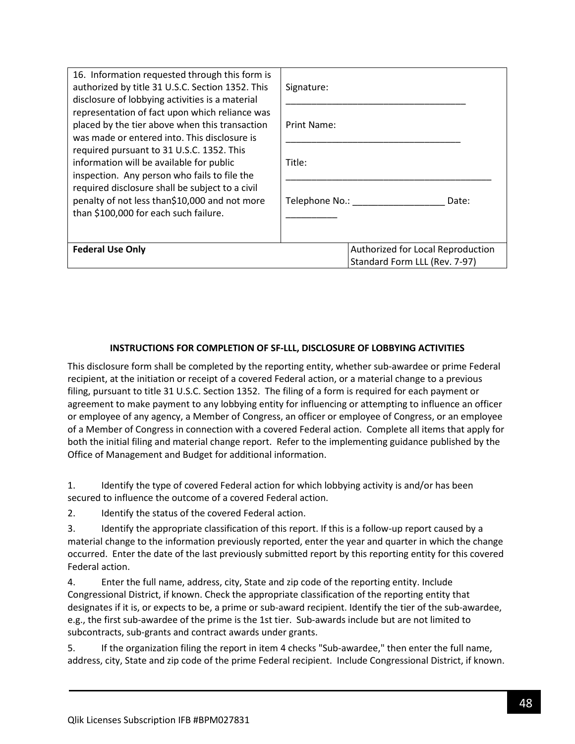| 16. Information requested through this form is<br>authorized by title 31 U.S.C. Section 1352. This<br>disclosure of lobbying activities is a material<br>representation of fact upon which reliance was<br>placed by the tier above when this transaction<br>was made or entered into. This disclosure is<br>required pursuant to 31 U.S.C. 1352. This<br>information will be available for public<br>inspection. Any person who fails to file the<br>required disclosure shall be subject to a civil<br>penalty of not less than\$10,000 and not more<br>than \$100,000 for each such failure. | Signature:                                                         |
|-------------------------------------------------------------------------------------------------------------------------------------------------------------------------------------------------------------------------------------------------------------------------------------------------------------------------------------------------------------------------------------------------------------------------------------------------------------------------------------------------------------------------------------------------------------------------------------------------|--------------------------------------------------------------------|
|                                                                                                                                                                                                                                                                                                                                                                                                                                                                                                                                                                                                 | Print Name:                                                        |
|                                                                                                                                                                                                                                                                                                                                                                                                                                                                                                                                                                                                 | Title:                                                             |
|                                                                                                                                                                                                                                                                                                                                                                                                                                                                                                                                                                                                 | Telephone No.:<br>Date:                                            |
| <b>Federal Use Only</b>                                                                                                                                                                                                                                                                                                                                                                                                                                                                                                                                                                         | Authorized for Local Reproduction<br>Standard Form LLL (Rev. 7-97) |

### **INSTRUCTIONS FOR COMPLETION OF SF-LLL, DISCLOSURE OF LOBBYING ACTIVITIES**

This disclosure form shall be completed by the reporting entity, whether sub-awardee or prime Federal recipient, at the initiation or receipt of a covered Federal action, or a material change to a previous filing, pursuant to title 31 U.S.C. Section 1352. The filing of a form is required for each payment or agreement to make payment to any lobbying entity for influencing or attempting to influence an officer or employee of any agency, a Member of Congress, an officer or employee of Congress, or an employee of a Member of Congress in connection with a covered Federal action. Complete all items that apply for both the initial filing and material change report. Refer to the implementing guidance published by the Office of Management and Budget for additional information.

1. Identify the type of covered Federal action for which lobbying activity is and/or has been secured to influence the outcome of a covered Federal action.

2. Identify the status of the covered Federal action.

3. Identify the appropriate classification of this report. If this is a follow-up report caused by a material change to the information previously reported, enter the year and quarter in which the change occurred. Enter the date of the last previously submitted report by this reporting entity for this covered Federal action.

4. Enter the full name, address, city, State and zip code of the reporting entity. Include Congressional District, if known. Check the appropriate classification of the reporting entity that designates if it is, or expects to be, a prime or sub-award recipient. Identify the tier of the sub-awardee, e.g., the first sub-awardee of the prime is the 1st tier. Sub-awards include but are not limited to subcontracts, sub-grants and contract awards under grants.

5. If the organization filing the report in item 4 checks "Sub-awardee," then enter the full name, address, city, State and zip code of the prime Federal recipient. Include Congressional District, if known.